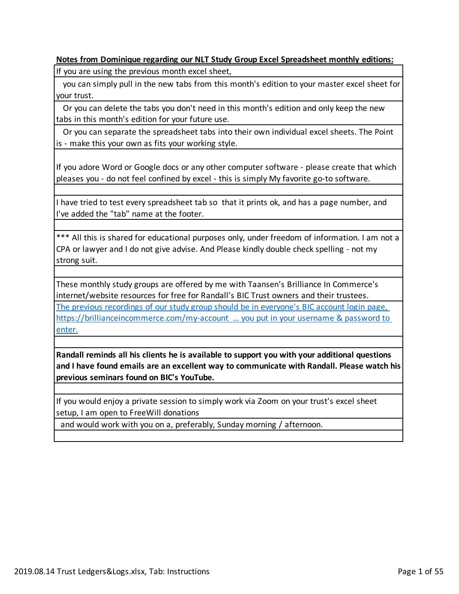#### **Notes from Dominique regarding our NLT Study Group Excel Spreadsheet monthly editions:**

If you are using the previous month excel sheet,

 you can simply pull in the new tabs from this month's edition to your master excel sheet for your trust.

 Or you can delete the tabs you don't need in this month's edition and only keep the new tabs in this month's edition for your future use.

 Or you can separate the spreadsheet tabs into their own individual excel sheets. The Point is - make this your own as fits your working style.

If you adore Word or Google docs or any other computer software - please create that which pleases you - do not feel confined by excel - this is simply My favorite go-to software.

I have tried to test every spreadsheet tab so that it prints ok, and has a page number, and I've added the "tab" name at the footer.

\*\*\* All this is shared for educational purposes only, under freedom of information. I am not a CPA or lawyer and I do not give advise. And Please kindly double check spelling - not my strong suit.

These monthly study groups are offered by me with Taansen's Brilliance In Commerce's internet/website resources for free for Randall's BIC Trust owners and their trustees. The previous recordings of our study group should be in everyone's BIC account login page, https://brillianceincommerce.com/my-account … you put in your username & password to enter.

**Randall reminds all his clients he is available to support you with your additional questions and I have found emails are an excellent way to communicate with Randall. Please watch his previous seminars found on BIC's YouTube.**

If you would enjoy a private session to simply work via Zoom on your trust's excel sheet setup, I am open to FreeWill donations

and would work with you on a, preferably, Sunday morning / afternoon.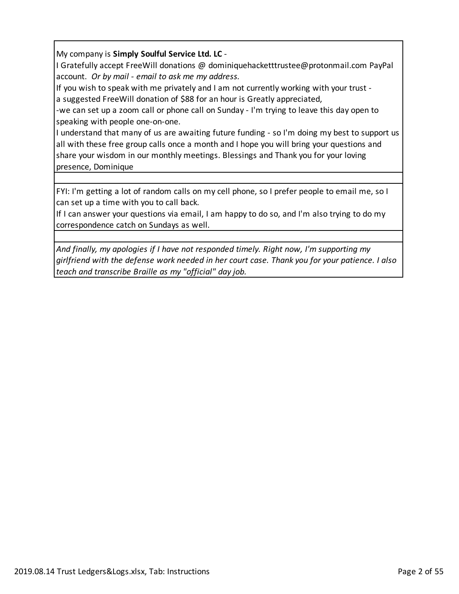## My company is **Simply Soulful Service Ltd. LC** -

I Gratefully accept FreeWill donations @ dominiquehacketttrustee@protonmail.com PayPal account. *Or by mail - email to ask me my address.*

If you wish to speak with me privately and I am not currently working with your trust a suggested FreeWill donation of \$88 for an hour is Greatly appreciated,

-we can set up a zoom call or phone call on Sunday - I'm trying to leave this day open to speaking with people one-on-one.

I understand that many of us are awaiting future funding - so I'm doing my best to support us all with these free group calls once a month and I hope you will bring your questions and share your wisdom in our monthly meetings. Blessings and Thank you for your loving presence, Dominique

FYI: I'm getting a lot of random calls on my cell phone, so I prefer people to email me, so I can set up a time with you to call back.

If I can answer your questions via email, I am happy to do so, and I'm also trying to do my correspondence catch on Sundays as well.

*And finally, my apologies if I have not responded timely. Right now, I'm supporting my girlfriend with the defense work needed in her court case. Thank you for your patience. I also teach and transcribe Braille as my "official" day job.*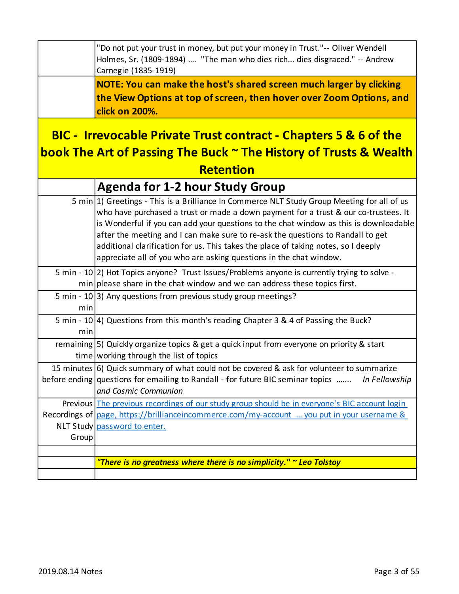|                                                                                                                                                  | "Do not put your trust in money, but put your money in Trust."-- Oliver Wendell<br>Holmes, Sr. (1809-1894)  "The man who dies rich dies disgraced." -- Andrew<br>Carnegie (1835-1919)                                                                                                                                                                                                                                                                                                                                      |
|--------------------------------------------------------------------------------------------------------------------------------------------------|----------------------------------------------------------------------------------------------------------------------------------------------------------------------------------------------------------------------------------------------------------------------------------------------------------------------------------------------------------------------------------------------------------------------------------------------------------------------------------------------------------------------------|
|                                                                                                                                                  | NOTE: You can make the host's shared screen much larger by clicking<br>the View Options at top of screen, then hover over Zoom Options, and<br>click on 200%.                                                                                                                                                                                                                                                                                                                                                              |
| <b>BIC - Irrevocable Private Trust contract - Chapters 5 &amp; 6 of the</b><br>book The Art of Passing The Buck ~ The History of Trusts & Wealth |                                                                                                                                                                                                                                                                                                                                                                                                                                                                                                                            |
|                                                                                                                                                  | <b>Retention</b>                                                                                                                                                                                                                                                                                                                                                                                                                                                                                                           |
|                                                                                                                                                  | <b>Agenda for 1-2 hour Study Group</b>                                                                                                                                                                                                                                                                                                                                                                                                                                                                                     |
|                                                                                                                                                  | 5 min 1) Greetings - This is a Brilliance In Commerce NLT Study Group Meeting for all of us<br>who have purchased a trust or made a down payment for a trust & our co-trustees. It<br>is Wonderful if you can add your questions to the chat window as this is downloadable<br>after the meeting and I can make sure to re-ask the questions to Randall to get<br>additional clarification for us. This takes the place of taking notes, so I deeply<br>appreciate all of you who are asking questions in the chat window. |
|                                                                                                                                                  | 5 min - 10(2) Hot Topics anyone? Trust Issues/Problems anyone is currently trying to solve -<br>min please share in the chat window and we can address these topics first.                                                                                                                                                                                                                                                                                                                                                 |
| min                                                                                                                                              | 5 min - 10(3) Any questions from previous study group meetings?                                                                                                                                                                                                                                                                                                                                                                                                                                                            |
| min                                                                                                                                              | 5 min - 10 4) Questions from this month's reading Chapter 3 & 4 of Passing the Buck?                                                                                                                                                                                                                                                                                                                                                                                                                                       |
|                                                                                                                                                  | remaining 5) Quickly organize topics & get a quick input from everyone on priority & start<br>time working through the list of topics                                                                                                                                                                                                                                                                                                                                                                                      |
|                                                                                                                                                  | 15 minutes 6) Quick summary of what could not be covered & ask for volunteer to summarize<br>before ending questions for emailing to Randall - for future BIC seminar topics<br>In Fellowship<br>and Cosmic Communion                                                                                                                                                                                                                                                                                                      |
| Group                                                                                                                                            | Previous The previous recordings of our study group should be in everyone's BIC account login<br>Recordings of page, https://brillianceincommerce.com/my-account  you put in your username &<br>NLT Study password to enter.                                                                                                                                                                                                                                                                                               |
|                                                                                                                                                  | "There is no greatness where there is no simplicity." $\sim$ Leo Tolstoy                                                                                                                                                                                                                                                                                                                                                                                                                                                   |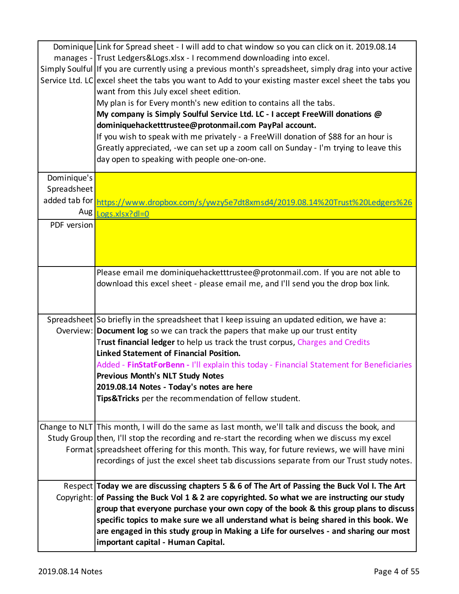|             | Dominique Link for Spread sheet - I will add to chat window so you can click on it. 2019.08.14         |
|-------------|--------------------------------------------------------------------------------------------------------|
|             | manages - Trust Ledgers&Logs.xlsx - I recommend downloading into excel.                                |
|             | Simply Soulful If you are currently using a previous month's spreadsheet, simply drag into your active |
|             | Service Ltd. LC excel sheet the tabs you want to Add to your existing master excel sheet the tabs you  |
|             | want from this July excel sheet edition.                                                               |
|             | My plan is for Every month's new edition to contains all the tabs.                                     |
|             | My company is Simply Soulful Service Ltd. LC - I accept FreeWill donations @                           |
|             | dominiquehacketttrustee@protonmail.com PayPal account.                                                 |
|             | If you wish to speak with me privately - a FreeWill donation of \$88 for an hour is                    |
|             | Greatly appreciated, -we can set up a zoom call on Sunday - I'm trying to leave this                   |
|             | day open to speaking with people one-on-one.                                                           |
| Dominique's |                                                                                                        |
| Spreadsheet |                                                                                                        |
|             | added tab for https://www.dropbox.com/s/ywzy5e7dt8xmsd4/2019.08.14%20Trust%20Ledgers%26                |
| Aug         | $Logs.xlx?dl=0$                                                                                        |
| PDF version |                                                                                                        |
|             |                                                                                                        |
|             |                                                                                                        |
|             |                                                                                                        |
|             | Please email me dominiquehacketttrustee@protonmail.com. If you are not able to                         |
|             | download this excel sheet - please email me, and I'll send you the drop box link.                      |
|             |                                                                                                        |
|             |                                                                                                        |
|             | Spreadsheet So briefly in the spreadsheet that I keep issuing an updated edition, we have a:           |
|             | Overview: Document log so we can track the papers that make up our trust entity                        |
|             | Trust financial ledger to help us track the trust corpus, Charges and Credits                          |
|             | <b>Linked Statement of Financial Position.</b>                                                         |
|             | Added - FinStatForBenn - I'll explain this today - Financial Statement for Beneficiaries               |
|             | <b>Previous Month's NLT Study Notes</b>                                                                |
|             | 2019.08.14 Notes - Today's notes are here                                                              |
|             | Tips&Tricks per the recommendation of fellow student.                                                  |
|             |                                                                                                        |
|             | Change to NLT This month, I will do the same as last month, we'll talk and discuss the book, and       |
|             | Study Group then, I'll stop the recording and re-start the recording when we discuss my excel          |
|             | Format spreadsheet offering for this month. This way, for future reviews, we will have mini            |
|             | recordings of just the excel sheet tab discussions separate from our Trust study notes.                |
|             |                                                                                                        |
|             | Respect Today we are discussing chapters 5 & 6 of The Art of Passing the Buck Vol I. The Art           |
|             | Copyright: of Passing the Buck Vol 1 & 2 are copyrighted. So what we are instructing our study         |
|             | group that everyone purchase your own copy of the book & this group plans to discuss                   |
|             | specific topics to make sure we all understand what is being shared in this book. We                   |
|             | are engaged in this study group in Making a Life for ourselves - and sharing our most                  |
|             | important capital - Human Capital.                                                                     |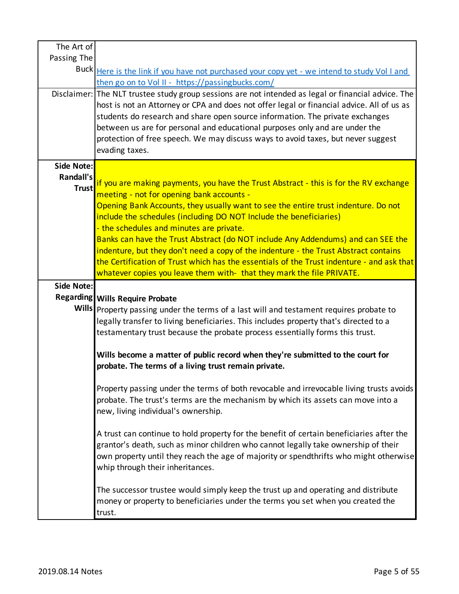| Passing The       |                                                                                                                                                                                |
|-------------------|--------------------------------------------------------------------------------------------------------------------------------------------------------------------------------|
|                   | Buck Here is the link if you have not purchased your copy yet - we intend to study Vol I and                                                                                   |
|                   | then go on to Vol II - https://passingbucks.com/                                                                                                                               |
|                   | Disclaimer: The NLT trustee study group sessions are not intended as legal or financial advice. The                                                                            |
|                   | host is not an Attorney or CPA and does not offer legal or financial advice. All of us as                                                                                      |
|                   | students do research and share open source information. The private exchanges                                                                                                  |
|                   | between us are for personal and educational purposes only and are under the                                                                                                    |
|                   | protection of free speech. We may discuss ways to avoid taxes, but never suggest                                                                                               |
|                   | evading taxes.                                                                                                                                                                 |
| Side Note:        |                                                                                                                                                                                |
| Randall's         |                                                                                                                                                                                |
| <b>Trust</b>      | if you are making payments, you have the Trust Abstract - this is for the RV exchange                                                                                          |
|                   | meeting - not for opening bank accounts -<br>Opening Bank Accounts, they usually want to see the entire trust indenture. Do not                                                |
|                   | include the schedules (including DO NOT Include the beneficiaries)                                                                                                             |
|                   | - the schedules and minutes are private.                                                                                                                                       |
|                   | Banks can have the Trust Abstract (do NOT include Any Addendums) and can SEE the                                                                                               |
|                   | indenture, but they don't need a copy of the indenture - the Trust Abstract contains                                                                                           |
|                   | the Certification of Trust which has the essentials of the Trust indenture - and ask that                                                                                      |
|                   | whatever copies you leave them with- that they mark the file PRIVATE.                                                                                                          |
| <b>Side Note:</b> |                                                                                                                                                                                |
|                   |                                                                                                                                                                                |
|                   |                                                                                                                                                                                |
|                   | Regarding Wills Require Probate<br>Wills Property passing under the terms of a last will and testament requires probate to                                                     |
|                   | legally transfer to living beneficiaries. This includes property that's directed to a                                                                                          |
|                   | testamentary trust because the probate process essentially forms this trust.                                                                                                   |
|                   |                                                                                                                                                                                |
|                   | Wills become a matter of public record when they're submitted to the court for                                                                                                 |
|                   | probate. The terms of a living trust remain private.                                                                                                                           |
|                   |                                                                                                                                                                                |
|                   | Property passing under the terms of both revocable and irrevocable living trusts avoids                                                                                        |
|                   | probate. The trust's terms are the mechanism by which its assets can move into a                                                                                               |
|                   | new, living individual's ownership.                                                                                                                                            |
|                   |                                                                                                                                                                                |
|                   | A trust can continue to hold property for the benefit of certain beneficiaries after the<br>grantor's death, such as minor children who cannot legally take ownership of their |
|                   | own property until they reach the age of majority or spendthrifts who might otherwise                                                                                          |
|                   | whip through their inheritances.                                                                                                                                               |
|                   |                                                                                                                                                                                |
|                   | The successor trustee would simply keep the trust up and operating and distribute                                                                                              |
|                   | money or property to beneficiaries under the terms you set when you created the<br>trust.                                                                                      |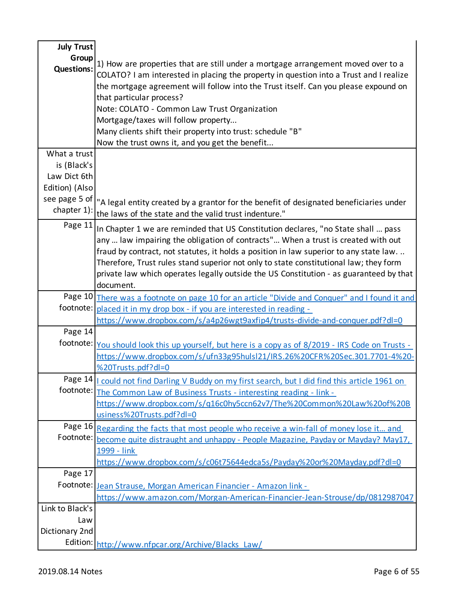| <b>July Trust</b> |                                                                                                    |
|-------------------|----------------------------------------------------------------------------------------------------|
| Group             | 1) How are properties that are still under a mortgage arrangement moved over to a                  |
| <b>Questions:</b> | COLATO? I am interested in placing the property in question into a Trust and I realize             |
|                   | the mortgage agreement will follow into the Trust itself. Can you please expound on                |
|                   | that particular process?                                                                           |
|                   | Note: COLATO - Common Law Trust Organization                                                       |
|                   | Mortgage/taxes will follow property                                                                |
|                   | Many clients shift their property into trust: schedule "B"                                         |
|                   | Now the trust owns it, and you get the benefit                                                     |
| What a trust      |                                                                                                    |
| is (Black's       |                                                                                                    |
| Law Dict 6th      |                                                                                                    |
| Edition) (Also    |                                                                                                    |
| see page 5 of     | "A legal entity created by a grantor for the benefit of designated beneficiaries under             |
| chapter 1):       | the laws of the state and the valid trust indenture."                                              |
| Page 11           | In Chapter 1 we are reminded that US Constitution declares, "no State shall  pass                  |
|                   | any  law impairing the obligation of contracts" When a trust is created with out                   |
|                   | fraud by contract, not statutes, it holds a position in law superior to any state law              |
|                   | Therefore, Trust rules stand superior not only to state constitutional law; they form              |
|                   | private law which operates legally outside the US Constitution - as guaranteed by that             |
|                   | document.                                                                                          |
|                   | Page 10 There was a footnote on page 10 for an article "Divide and Conquer" and I found it and     |
|                   | footnote: placed it in my drop box - if you are interested in reading -                            |
|                   | https://www.dropbox.com/s/a4p26wgt9axfip4/trusts-divide-and-conquer.pdf?dl=0                       |
| Page 14           |                                                                                                    |
|                   | footnote: You should look this up yourself, but here is a copy as of 8/2019 - IRS Code on Trusts - |
|                   | https://www.dropbox.com/s/ufn33g95hulsl21/IRS.26%20CFR%20Sec.301.7701-4%20-                        |
|                   | %20Trusts.pdf?dl=0                                                                                 |
|                   | Page 14   could not find Darling V Buddy on my first search, but I did find this article 1961 on   |
| footnote:         | The Common Law of Business Trusts - interesting reading - link -                                   |
|                   | https://www.dropbox.com/s/q16c0hy5ccn62v7/The%20Common%20Law%20of%20B                              |
|                   | usiness%20Trusts.pdf?dl=0                                                                          |
| Page 16           | Regarding the facts that most people who receive a win-fall of money lose it and                   |
| Footnote:         | become quite distraught and unhappy - People Magazine, Payday or Mayday? May17,                    |
|                   | 1999 - link                                                                                        |
|                   | https://www.dropbox.com/s/c06t75644edca5s/Payday%20or%20Mayday.pdf?dl=0                            |
| Page 17           |                                                                                                    |
| Footnote:         | Jean Strause, Morgan American Financier - Amazon link -                                            |
|                   | https://www.amazon.com/Morgan-American-Financier-Jean-Strouse/dp/0812987047                        |
| Link to Black's   |                                                                                                    |
| Law               |                                                                                                    |
| Dictionary 2nd    |                                                                                                    |
|                   | Edition: http://www.nfpcar.org/Archive/Blacks_Law/                                                 |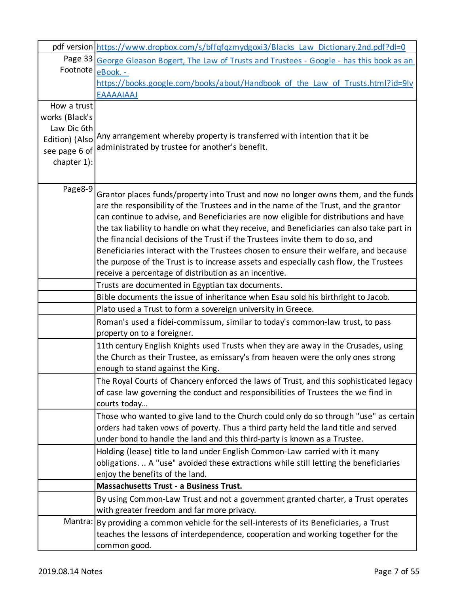|                | pdf version https://www.dropbox.com/s/bffqfqzmydgoxi3/Blacks_Law_Dictionary.2nd.pdf?dl=0                                                                                                                                                                                                                                                                                                                                                                                                                                                                                                                                                                                                      |
|----------------|-----------------------------------------------------------------------------------------------------------------------------------------------------------------------------------------------------------------------------------------------------------------------------------------------------------------------------------------------------------------------------------------------------------------------------------------------------------------------------------------------------------------------------------------------------------------------------------------------------------------------------------------------------------------------------------------------|
|                | Page 33 George Gleason Bogert, The Law of Trusts and Trustees - Google - has this book as an                                                                                                                                                                                                                                                                                                                                                                                                                                                                                                                                                                                                  |
| Footnote       | eBook. -                                                                                                                                                                                                                                                                                                                                                                                                                                                                                                                                                                                                                                                                                      |
|                | https://books.google.com/books/about/Handbook of the Law of Trusts.html?id=9lv                                                                                                                                                                                                                                                                                                                                                                                                                                                                                                                                                                                                                |
|                | <b>EAAAAIAAJ</b>                                                                                                                                                                                                                                                                                                                                                                                                                                                                                                                                                                                                                                                                              |
| How a trust    |                                                                                                                                                                                                                                                                                                                                                                                                                                                                                                                                                                                                                                                                                               |
| works (Black's |                                                                                                                                                                                                                                                                                                                                                                                                                                                                                                                                                                                                                                                                                               |
| Law Dic 6th    |                                                                                                                                                                                                                                                                                                                                                                                                                                                                                                                                                                                                                                                                                               |
| Edition) (Also | Any arrangement whereby property is transferred with intention that it be<br>administrated by trustee for another's benefit.                                                                                                                                                                                                                                                                                                                                                                                                                                                                                                                                                                  |
| see page 6 of  |                                                                                                                                                                                                                                                                                                                                                                                                                                                                                                                                                                                                                                                                                               |
| chapter 1):    |                                                                                                                                                                                                                                                                                                                                                                                                                                                                                                                                                                                                                                                                                               |
|                |                                                                                                                                                                                                                                                                                                                                                                                                                                                                                                                                                                                                                                                                                               |
| Page8-9        | Grantor places funds/property into Trust and now no longer owns them, and the funds<br>are the responsibility of the Trustees and in the name of the Trust, and the grantor<br>can continue to advise, and Beneficiaries are now eligible for distributions and have<br>the tax liability to handle on what they receive, and Beneficiaries can also take part in<br>the financial decisions of the Trust if the Trustees invite them to do so, and<br>Beneficiaries interact with the Trustees chosen to ensure their welfare, and because<br>the purpose of the Trust is to increase assets and especially cash flow, the Trustees<br>receive a percentage of distribution as an incentive. |
|                | Trusts are documented in Egyptian tax documents.                                                                                                                                                                                                                                                                                                                                                                                                                                                                                                                                                                                                                                              |
|                | Bible documents the issue of inheritance when Esau sold his birthright to Jacob.                                                                                                                                                                                                                                                                                                                                                                                                                                                                                                                                                                                                              |
|                | Plato used a Trust to form a sovereign university in Greece.                                                                                                                                                                                                                                                                                                                                                                                                                                                                                                                                                                                                                                  |
|                | Roman's used a fidei-commissum, similar to today's common-law trust, to pass                                                                                                                                                                                                                                                                                                                                                                                                                                                                                                                                                                                                                  |
|                | property on to a foreigner.                                                                                                                                                                                                                                                                                                                                                                                                                                                                                                                                                                                                                                                                   |
|                | 11th century English Knights used Trusts when they are away in the Crusades, using<br>the Church as their Trustee, as emissary's from heaven were the only ones strong<br>enough to stand against the King.                                                                                                                                                                                                                                                                                                                                                                                                                                                                                   |
|                | The Royal Courts of Chancery enforced the laws of Trust, and this sophisticated legacy<br>of case law governing the conduct and responsibilities of Trustees the we find in<br>courts today                                                                                                                                                                                                                                                                                                                                                                                                                                                                                                   |
|                | Those who wanted to give land to the Church could only do so through "use" as certain<br>orders had taken vows of poverty. Thus a third party held the land title and served<br>under bond to handle the land and this third-party is known as a Trustee.                                                                                                                                                                                                                                                                                                                                                                                                                                     |
|                | Holding (lease) title to land under English Common-Law carried with it many<br>obligations.  A "use" avoided these extractions while still letting the beneficiaries<br>enjoy the benefits of the land.                                                                                                                                                                                                                                                                                                                                                                                                                                                                                       |
|                | <b>Massachusetts Trust - a Business Trust.</b>                                                                                                                                                                                                                                                                                                                                                                                                                                                                                                                                                                                                                                                |
|                | By using Common-Law Trust and not a government granted charter, a Trust operates<br>with greater freedom and far more privacy.                                                                                                                                                                                                                                                                                                                                                                                                                                                                                                                                                                |
| Mantra:        | By providing a common vehicle for the sell-interests of its Beneficiaries, a Trust<br>teaches the lessons of interdependence, cooperation and working together for the<br>common good.                                                                                                                                                                                                                                                                                                                                                                                                                                                                                                        |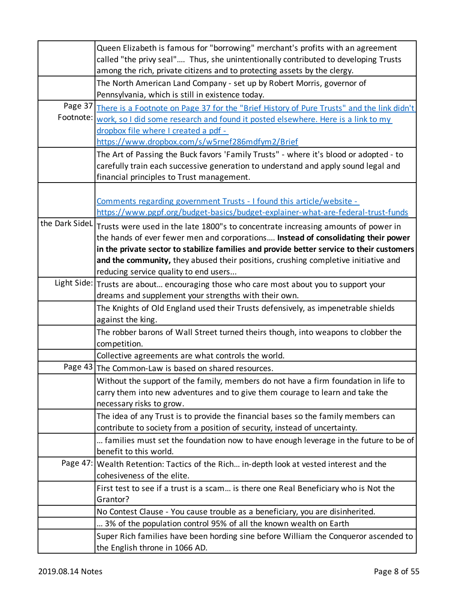|                | Queen Elizabeth is famous for "borrowing" merchant's profits with an agreement                    |
|----------------|---------------------------------------------------------------------------------------------------|
|                | called "the privy seal" Thus, she unintentionally contributed to developing Trusts                |
|                | among the rich, private citizens and to protecting assets by the clergy.                          |
|                | The North American Land Company - set up by Robert Morris, governor of                            |
|                | Pennsylvania, which is still in existence today.                                                  |
|                | Page 37 There is a Footnote on Page 37 for the "Brief History of Pure Trusts" and the link didn't |
| Footnote:      | work, so I did some research and found it posted elsewhere. Here is a link to my                  |
|                | dropbox file where I created a pdf -                                                              |
|                | https://www.dropbox.com/s/w5rnef286mdfym2/Brief                                                   |
|                | The Art of Passing the Buck favors 'Family Trusts" - where it's blood or adopted - to             |
|                | carefully train each successive generation to understand and apply sound legal and                |
|                | financial principles to Trust management.                                                         |
|                |                                                                                                   |
|                | Comments regarding government Trusts - I found this article/website -                             |
|                | https://www.pgpf.org/budget-basics/budget-explainer-what-are-federal-trust-funds                  |
| the Dark SideL | Trusts were used in the late 1800"s to concentrate increasing amounts of power in                 |
|                | the hands of ever fewer men and corporations Instead of consolidating their power                 |
|                | in the private sector to stabilize families and provide better service to their customers         |
|                | and the community, they abused their positions, crushing completive initiative and                |
|                | reducing service quality to end users                                                             |
|                | Light Side: Trusts are about encouraging those who care most about you to support your            |
|                | dreams and supplement your strengths with their own.                                              |
|                | The Knights of Old England used their Trusts defensively, as impenetrable shields                 |
|                | against the king.                                                                                 |
|                | The robber barons of Wall Street turned theirs though, into weapons to clobber the                |
|                | competition.                                                                                      |
|                | Collective agreements are what controls the world.                                                |
|                | Page 43 The Common-Law is based on shared resources.                                              |
|                | Without the support of the family, members do not have a firm foundation in life to               |
|                | carry them into new adventures and to give them courage to learn and take the                     |
|                | necessary risks to grow.                                                                          |
|                | The idea of any Trust is to provide the financial bases so the family members can                 |
|                | contribute to society from a position of security, instead of uncertainty.                        |
|                | families must set the foundation now to have enough leverage in the future to be of               |
|                | benefit to this world.                                                                            |
|                | Page 47:   Wealth Retention: Tactics of the Rich in-depth look at vested interest and the         |
|                | cohesiveness of the elite.                                                                        |
|                | First test to see if a trust is a scam is there one Real Beneficiary who is Not the               |
|                | Grantor?                                                                                          |
|                | No Contest Clause - You cause trouble as a beneficiary, you are disinherited.                     |
|                | 3% of the population control 95% of all the known wealth on Earth                                 |
|                | Super Rich families have been hording sine before William the Conqueror ascended to               |
|                | the English throne in 1066 AD.                                                                    |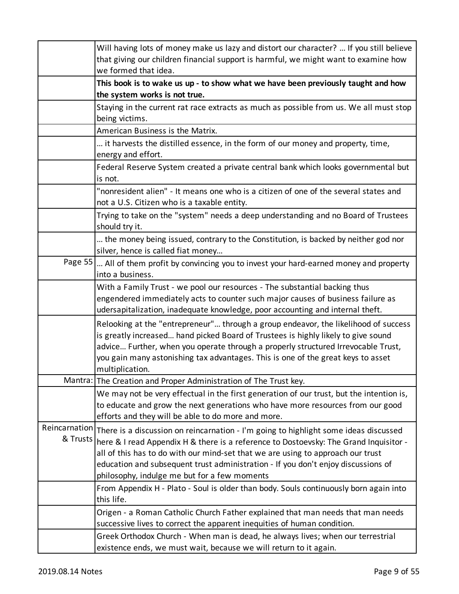|          | Will having lots of money make us lazy and distort our character?  If you still believe<br>that giving our children financial support is harmful, we might want to examine how<br>we formed that idea.                                                                                                                                                                                                              |
|----------|---------------------------------------------------------------------------------------------------------------------------------------------------------------------------------------------------------------------------------------------------------------------------------------------------------------------------------------------------------------------------------------------------------------------|
|          | This book is to wake us up - to show what we have been previously taught and how<br>the system works is not true.                                                                                                                                                                                                                                                                                                   |
|          | Staying in the current rat race extracts as much as possible from us. We all must stop<br>being victims.                                                                                                                                                                                                                                                                                                            |
|          | American Business is the Matrix.                                                                                                                                                                                                                                                                                                                                                                                    |
|          | it harvests the distilled essence, in the form of our money and property, time,<br>energy and effort.                                                                                                                                                                                                                                                                                                               |
|          | Federal Reserve System created a private central bank which looks governmental but<br>is not.                                                                                                                                                                                                                                                                                                                       |
|          | "nonresident alien" - It means one who is a citizen of one of the several states and<br>not a U.S. Citizen who is a taxable entity.                                                                                                                                                                                                                                                                                 |
|          | Trying to take on the "system" needs a deep understanding and no Board of Trustees<br>should try it.                                                                                                                                                                                                                                                                                                                |
|          | the money being issued, contrary to the Constitution, is backed by neither god nor<br>silver, hence is called fiat money                                                                                                                                                                                                                                                                                            |
|          | Page 55   All of them profit by convincing you to invest your hard-earned money and property<br>into a business.                                                                                                                                                                                                                                                                                                    |
|          | With a Family Trust - we pool our resources - The substantial backing thus<br>engendered immediately acts to counter such major causes of business failure as<br>udersapitalization, inadequate knowledge, poor accounting and internal theft.                                                                                                                                                                      |
|          | Relooking at the "entrepreneur" through a group endeavor, the likelihood of success<br>is greatly increased hand picked Board of Trustees is highly likely to give sound<br>advice Further, when you operate through a properly structured Irrevocable Trust,<br>you gain many astonishing tax advantages. This is one of the great keys to asset<br>multiplication.                                                |
|          | Mantra: The Creation and Proper Administration of The Trust key.                                                                                                                                                                                                                                                                                                                                                    |
|          | We may not be very effectual in the first generation of our trust, but the intention is,<br>to educate and grow the next generations who have more resources from our good<br>efforts and they will be able to do more and more.                                                                                                                                                                                    |
| & Trusts | Reincarnation There is a discussion on reincarnation - I'm going to highlight some ideas discussed<br>here & I read Appendix H & there is a reference to Dostoevsky: The Grand Inquisitor -<br>all of this has to do with our mind-set that we are using to approach our trust<br>education and subsequent trust administration - If you don't enjoy discussions of<br>philosophy, indulge me but for a few moments |
|          | From Appendix H - Plato - Soul is older than body. Souls continuously born again into<br>this life.                                                                                                                                                                                                                                                                                                                 |
|          | Origen - a Roman Catholic Church Father explained that man needs that man needs<br>successive lives to correct the apparent inequities of human condition.                                                                                                                                                                                                                                                          |
|          | Greek Orthodox Church - When man is dead, he always lives; when our terrestrial<br>existence ends, we must wait, because we will return to it again.                                                                                                                                                                                                                                                                |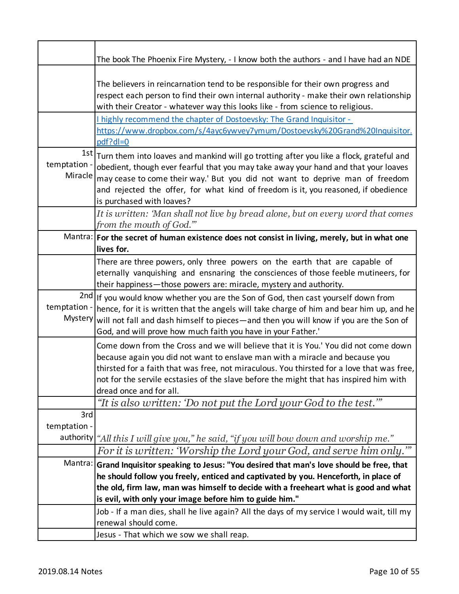|                         | The book The Phoenix Fire Mystery, - I know both the authors - and I have had an NDE                                                                                                                                                                                                                                                                                                                                             |
|-------------------------|----------------------------------------------------------------------------------------------------------------------------------------------------------------------------------------------------------------------------------------------------------------------------------------------------------------------------------------------------------------------------------------------------------------------------------|
|                         | The believers in reincarnation tend to be responsible for their own progress and<br>respect each person to find their own internal authority - make their own relationship<br>with their Creator - whatever way this looks like - from science to religious.<br>I highly recommend the chapter of Dostoevsky: The Grand Inquisitor -<br>https://www.dropbox.com/s/4ayc6ywvey7ymum/Dostoevsky%20Grand%20Inquisitor.<br>$pdf?dl=0$ |
| temptation -<br>Miracle | $1st$ Turn them into loaves and mankind will go trotting after you like a flock, grateful and<br>obedient, though ever fearful that you may take away your hand and that your loaves<br>may cease to come their way.' But you did not want to deprive man of freedom<br>and rejected the offer, for what kind of freedom is it, you reasoned, if obedience<br>is purchased with loaves?                                          |
|                         | It is written: 'Man shall not live by bread alone, but on every word that comes<br>from the mouth of God.""                                                                                                                                                                                                                                                                                                                      |
|                         | Mantra: For the secret of human existence does not consist in living, merely, but in what one<br>lives for.                                                                                                                                                                                                                                                                                                                      |
|                         | There are three powers, only three powers on the earth that are capable of<br>eternally vanquishing and ensnaring the consciences of those feeble mutineers, for<br>their happiness-those powers are: miracle, mystery and authority.                                                                                                                                                                                            |
| temptation -<br>Mystery | 2nd If you would know whether you are the Son of God, then cast yourself down from<br>hence, for it is written that the angels will take charge of him and bear him up, and he<br>will not fall and dash himself to pieces-and then you will know if you are the Son of<br>God, and will prove how much faith you have in your Father.'                                                                                          |
|                         | Come down from the Cross and we will believe that it is You.' You did not come down<br>because again you did not want to enslave man with a miracle and because you<br>thirsted for a faith that was free, not miraculous. You thirsted for a love that was free,<br>not for the servile ecstasies of the slave before the might that has inspired him with<br>dread once and for all.                                           |
|                         | "It is also written: 'Do not put the Lord your God to the test.'"                                                                                                                                                                                                                                                                                                                                                                |
| 3rd<br>temptation -     | authority "All this I will give you," he said, "if you will bow down and worship me."                                                                                                                                                                                                                                                                                                                                            |
|                         | For it is written: 'Worship the Lord your God, and serve him only."                                                                                                                                                                                                                                                                                                                                                              |
|                         | Mantra: Grand Inquisitor speaking to Jesus: "You desired that man's love should be free, that<br>he should follow you freely, enticed and captivated by you. Henceforth, in place of<br>the old, firm law, man was himself to decide with a freeheart what is good and what<br>is evil, with only your image before him to guide him."                                                                                           |
|                         | Job - If a man dies, shall he live again? All the days of my service I would wait, till my<br>renewal should come.<br>Jesus - That which we sow we shall reap.                                                                                                                                                                                                                                                                   |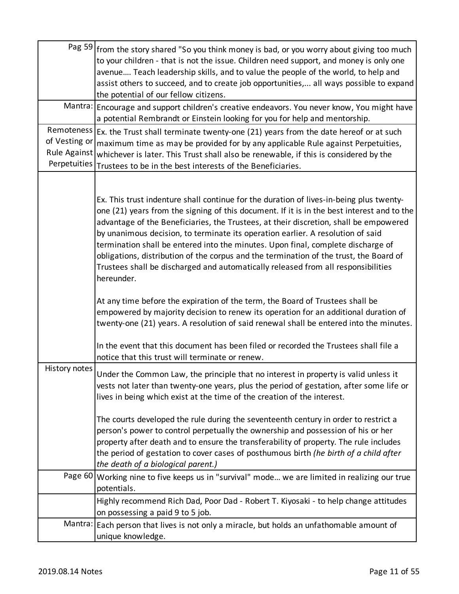|                                               | Pag $59$ from the story shared "So you think money is bad, or you worry about giving too much<br>to your children - that is not the issue. Children need support, and money is only one<br>avenue Teach leadership skills, and to value the people of the world, to help and<br>assist others to succeed, and to create job opportunities, all ways possible to expand<br>the potential of our fellow citizens.<br>Mantra: Encourage and support children's creative endeavors. You never know, You might have<br>a potential Rembrandt or Einstein looking for you for help and mentorship.<br>Remoteness $\left  \epsilon x \right $ the Trust shall terminate twenty-one (21) years from the date hereof or at such |
|-----------------------------------------------|------------------------------------------------------------------------------------------------------------------------------------------------------------------------------------------------------------------------------------------------------------------------------------------------------------------------------------------------------------------------------------------------------------------------------------------------------------------------------------------------------------------------------------------------------------------------------------------------------------------------------------------------------------------------------------------------------------------------|
| of Vesting or<br>Rule Against<br>Perpetuities | maximum time as may be provided for by any applicable Rule against Perpetuities,<br>whichever is later. This Trust shall also be renewable, if this is considered by the<br>Trustees to be in the best interests of the Beneficiaries.                                                                                                                                                                                                                                                                                                                                                                                                                                                                                 |
|                                               | Ex. This trust indenture shall continue for the duration of lives-in-being plus twenty-<br>one (21) years from the signing of this document. If it is in the best interest and to the<br>advantage of the Beneficiaries, the Trustees, at their discretion, shall be empowered<br>by unanimous decision, to terminate its operation earlier. A resolution of said<br>termination shall be entered into the minutes. Upon final, complete discharge of<br>obligations, distribution of the corpus and the termination of the trust, the Board of<br>Trustees shall be discharged and automatically released from all responsibilities<br>hereunder.                                                                     |
|                                               | At any time before the expiration of the term, the Board of Trustees shall be<br>empowered by majority decision to renew its operation for an additional duration of<br>twenty-one (21) years. A resolution of said renewal shall be entered into the minutes.<br>In the event that this document has been filed or recorded the Trustees shall file a                                                                                                                                                                                                                                                                                                                                                                 |
| History notes                                 | notice that this trust will terminate or renew.<br>Under the Common Law, the principle that no interest in property is valid unless it                                                                                                                                                                                                                                                                                                                                                                                                                                                                                                                                                                                 |
|                                               | vests not later than twenty-one years, plus the period of gestation, after some life or<br>lives in being which exist at the time of the creation of the interest.<br>The courts developed the rule during the seventeenth century in order to restrict a<br>person's power to control perpetually the ownership and possession of his or her<br>property after death and to ensure the transferability of property. The rule includes<br>the period of gestation to cover cases of posthumous birth (he birth of a child after<br>the death of a biological parent.)                                                                                                                                                  |
| Page 60                                       | Working nine to five keeps us in "survival" mode we are limited in realizing our true<br>potentials.                                                                                                                                                                                                                                                                                                                                                                                                                                                                                                                                                                                                                   |
|                                               | Highly recommend Rich Dad, Poor Dad - Robert T. Kiyosaki - to help change attitudes<br>on possessing a paid 9 to 5 job.                                                                                                                                                                                                                                                                                                                                                                                                                                                                                                                                                                                                |
| Mantra:                                       | Each person that lives is not only a miracle, but holds an unfathomable amount of<br>unique knowledge.                                                                                                                                                                                                                                                                                                                                                                                                                                                                                                                                                                                                                 |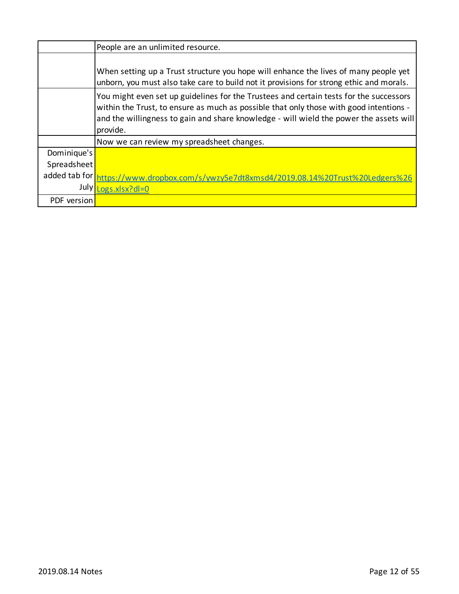|               | People are an unlimited resource.                                                                                                                                                                                                                                                      |
|---------------|----------------------------------------------------------------------------------------------------------------------------------------------------------------------------------------------------------------------------------------------------------------------------------------|
|               | When setting up a Trust structure you hope will enhance the lives of many people yet<br>unborn, you must also take care to build not it provisions for strong ethic and morals.                                                                                                        |
|               | You might even set up guidelines for the Trustees and certain tests for the successors<br>within the Trust, to ensure as much as possible that only those with good intentions -<br>and the willingness to gain and share knowledge - will wield the power the assets will<br>provide. |
|               | Now we can review my spreadsheet changes.                                                                                                                                                                                                                                              |
| Dominique's   |                                                                                                                                                                                                                                                                                        |
| Spreadsheet   |                                                                                                                                                                                                                                                                                        |
| added tab for | ttps://www.dropbox.com/s/ywzy5e7dt8xmsd4/2019.08.14%20Trust%20Ledgers%26                                                                                                                                                                                                               |
| July          | ogs.xlsx?dl=0                                                                                                                                                                                                                                                                          |
| PDF version   |                                                                                                                                                                                                                                                                                        |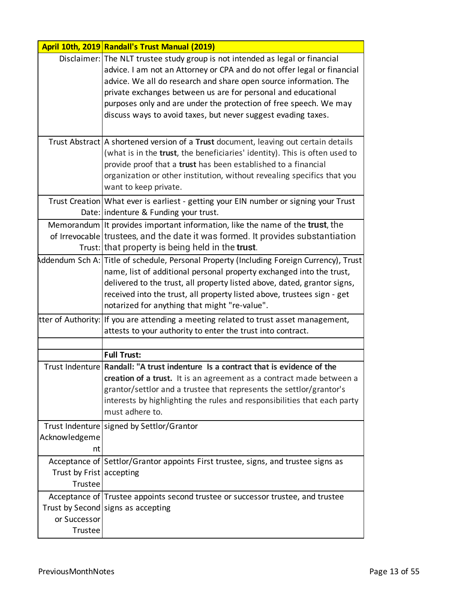|                                     | April 10th, 2019 Randall's Trust Manual (2019)                                                                                                                                                                                                                                                                                                                                                                                       |
|-------------------------------------|--------------------------------------------------------------------------------------------------------------------------------------------------------------------------------------------------------------------------------------------------------------------------------------------------------------------------------------------------------------------------------------------------------------------------------------|
|                                     | Disclaimer: The NLT trustee study group is not intended as legal or financial<br>advice. I am not an Attorney or CPA and do not offer legal or financial<br>advice. We all do research and share open source information. The<br>private exchanges between us are for personal and educational<br>purposes only and are under the protection of free speech. We may<br>discuss ways to avoid taxes, but never suggest evading taxes. |
|                                     | Trust Abstract   A shortened version of a Trust document, leaving out certain details<br>(what is in the trust, the beneficiaries' identity). This is often used to<br>provide proof that a trust has been established to a financial<br>organization or other institution, without revealing specifics that you<br>want to keep private.                                                                                            |
|                                     | Trust Creation What ever is earliest - getting your EIN number or signing your Trust<br>Date: indenture & Funding your trust.                                                                                                                                                                                                                                                                                                        |
|                                     | Memorandum It provides important information, like the name of the <b>trust</b> , the<br>of Irrevocable trustees, and the date it was formed. It provides substantiation<br>Trust: that property is being held in the trust.                                                                                                                                                                                                         |
|                                     | Addendum Sch A: Title of schedule, Personal Property (Including Foreign Currency), Trust<br>name, list of additional personal property exchanged into the trust,<br>delivered to the trust, all property listed above, dated, grantor signs,<br>received into the trust, all property listed above, trustees sign - get<br>notarized for anything that might "re-value".                                                             |
|                                     | tter of Authority: If you are attending a meeting related to trust asset management,<br>attests to your authority to enter the trust into contract.                                                                                                                                                                                                                                                                                  |
|                                     |                                                                                                                                                                                                                                                                                                                                                                                                                                      |
|                                     | <b>Full Trust:</b>                                                                                                                                                                                                                                                                                                                                                                                                                   |
|                                     | Trust Indenture Randall: "A trust indenture Is a contract that is evidence of the<br>creation of a trust. It is an agreement as a contract made between a<br>grantor/settlor and a trustee that represents the settlor/grantor's<br>interests by highlighting the rules and responsibilities that each party<br>must adhere to.                                                                                                      |
| Acknowledgeme<br>nt                 | Trust Indenture signed by Settlor/Grantor                                                                                                                                                                                                                                                                                                                                                                                            |
| Trust by Frist accepting<br>Trustee | Acceptance of Settlor/Grantor appoints First trustee, signs, and trustee signs as                                                                                                                                                                                                                                                                                                                                                    |
| or Successor<br>Trustee             | Acceptance of Trustee appoints second trustee or successor trustee, and trustee<br>Trust by Second signs as accepting                                                                                                                                                                                                                                                                                                                |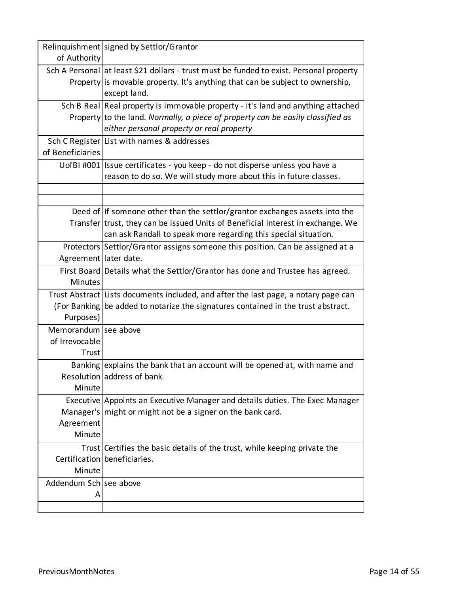|                        | Relinquishment signed by Settlor/Grantor                                                                                                                                                 |
|------------------------|------------------------------------------------------------------------------------------------------------------------------------------------------------------------------------------|
| of Authority           |                                                                                                                                                                                          |
|                        | Sch A Personal at least \$21 dollars - trust must be funded to exist. Personal property<br>Property is movable property. It's anything that can be subject to ownership,<br>except land. |
|                        | Sch B Real Real property is immovable property - it's land and anything attached                                                                                                         |
|                        | Property to the land. Normally, a piece of property can be easily classified as                                                                                                          |
|                        | either personal property or real property                                                                                                                                                |
|                        | Sch C Register List with names & addresses                                                                                                                                               |
| of Beneficiaries       |                                                                                                                                                                                          |
|                        | UofBI #001 Issue certificates - you keep - do not disperse unless you have a                                                                                                             |
|                        | reason to do so. We will study more about this in future classes.                                                                                                                        |
|                        |                                                                                                                                                                                          |
|                        |                                                                                                                                                                                          |
|                        | Deed of If someone other than the settlor/grantor exchanges assets into the                                                                                                              |
|                        | Transfer trust, they can be issued Units of Beneficial Interest in exchange. We                                                                                                          |
|                        | can ask Randall to speak more regarding this special situation.                                                                                                                          |
|                        | Protectors Settlor/Grantor assigns someone this position. Can be assigned at a                                                                                                           |
| Agreement later date.  |                                                                                                                                                                                          |
|                        | First Board Details what the Settlor/Grantor has done and Trustee has agreed.                                                                                                            |
| <b>Minutes</b>         |                                                                                                                                                                                          |
|                        | Trust Abstract Lists documents included, and after the last page, a notary page can                                                                                                      |
|                        | (For Banking be added to notarize the signatures contained in the trust abstract.                                                                                                        |
| Purposes)              |                                                                                                                                                                                          |
| Memorandum see above   |                                                                                                                                                                                          |
| of Irrevocable         |                                                                                                                                                                                          |
| Trust                  |                                                                                                                                                                                          |
|                        | Banking explains the bank that an account will be opened at, with name and                                                                                                               |
|                        | Resolution address of bank.                                                                                                                                                              |
| Minute                 |                                                                                                                                                                                          |
|                        | Executive Appoints an Executive Manager and details duties. The Exec Manager                                                                                                             |
|                        | Manager's $mid$ or might not be a signer on the bank card.                                                                                                                               |
| Agreement              |                                                                                                                                                                                          |
| Minute                 |                                                                                                                                                                                          |
|                        | Trust Certifies the basic details of the trust, while keeping private the                                                                                                                |
|                        | Certification beneficiaries.                                                                                                                                                             |
| Minute                 |                                                                                                                                                                                          |
| Addendum Sch see above |                                                                                                                                                                                          |
| А                      |                                                                                                                                                                                          |
|                        |                                                                                                                                                                                          |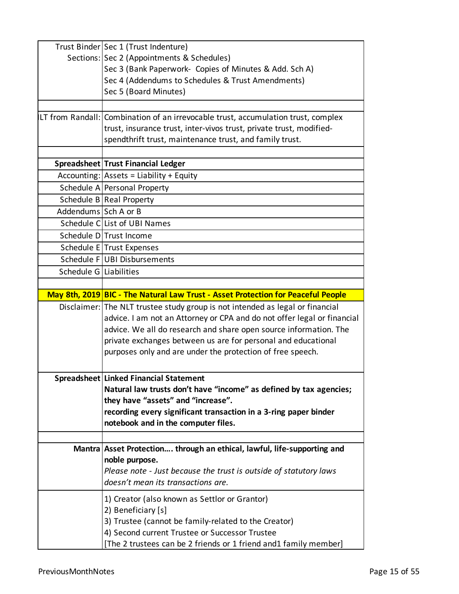|                        | Trust Binder   Sec 1 (Trust Indenture)                                            |
|------------------------|-----------------------------------------------------------------------------------|
|                        | Sections: Sec 2 (Appointments & Schedules)                                        |
|                        | Sec 3 (Bank Paperwork- Copies of Minutes & Add. Sch A)                            |
|                        | Sec 4 (Addendums to Schedules & Trust Amendments)                                 |
|                        | Sec 5 (Board Minutes)                                                             |
|                        |                                                                                   |
|                        | LT from Randall: Combination of an irrevocable trust, accumulation trust, complex |
|                        | trust, insurance trust, inter-vivos trust, private trust, modified-               |
|                        | spendthrift trust, maintenance trust, and family trust.                           |
|                        |                                                                                   |
|                        | Spreadsheet Trust Financial Ledger                                                |
|                        | $Accounting: Assets = Liability + Equity$                                         |
|                        | Schedule A Personal Property                                                      |
|                        | Schedule B Real Property                                                          |
| Addendums Sch A or B   |                                                                                   |
|                        | Schedule CLList of UBI Names                                                      |
|                        | Schedule DITrust Income                                                           |
|                        | Schedule E Trust Expenses                                                         |
|                        | Schedule F UBI Disbursements                                                      |
| Schedule G Liabilities |                                                                                   |
|                        |                                                                                   |
|                        | May 8th, 2019 BIC - The Natural Law Trust - Asset Protection for Peaceful People  |
|                        | Disclaimer: The NLT trustee study group is not intended as legal or financial     |
|                        | advice. I am not an Attorney or CPA and do not offer legal or financial           |
|                        | advice. We all do research and share open source information. The                 |
|                        | private exchanges between us are for personal and educational                     |
|                        | purposes only and are under the protection of free speech.                        |
|                        |                                                                                   |
|                        | Spreadsheet Linked Financial Statement                                            |
|                        | Natural law trusts don't have "income" as defined by tax agencies;                |
|                        | they have "assets" and "increase".                                                |
|                        | recording every significant transaction in a 3-ring paper binder                  |
|                        | notebook and in the computer files.                                               |
|                        |                                                                                   |
|                        | Mantra Asset Protection through an ethical, lawful, life-supporting and           |
|                        | noble purpose.                                                                    |
|                        | Please note - Just because the trust is outside of statutory laws                 |
|                        | doesn't mean its transactions are.                                                |
|                        | 1) Creator (also known as Settlor or Grantor)                                     |
|                        | 2) Beneficiary [s]                                                                |
|                        | 3) Trustee (cannot be family-related to the Creator)                              |
|                        | 4) Second current Trustee or Successor Trustee                                    |
|                        | [The 2 trustees can be 2 friends or 1 friend and1 family member]                  |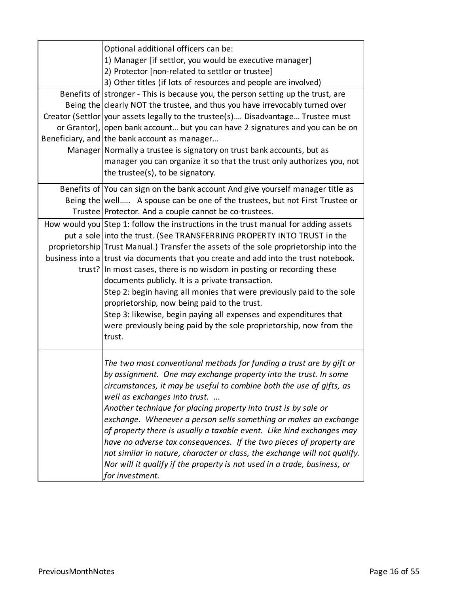| Optional additional officers can be:<br>1) Manager [if settlor, you would be executive manager]<br>2) Protector [non-related to settlor or trustee]<br>3) Other titles (if lots of resources and people are involved)                                                                                                                                                                                                                                           |
|-----------------------------------------------------------------------------------------------------------------------------------------------------------------------------------------------------------------------------------------------------------------------------------------------------------------------------------------------------------------------------------------------------------------------------------------------------------------|
| Benefits of stronger - This is because you, the person setting up the trust, are                                                                                                                                                                                                                                                                                                                                                                                |
| Being the clearly NOT the trustee, and thus you have irrevocably turned over<br>Creator (Settlor   your assets legally to the trustee(s) Disadvantage Trustee must                                                                                                                                                                                                                                                                                              |
| or Grantor), open bank account but you can have 2 signatures and you can be on                                                                                                                                                                                                                                                                                                                                                                                  |
| Beneficiary, and the bank account as manager                                                                                                                                                                                                                                                                                                                                                                                                                    |
| Manager Normally a trustee is signatory on trust bank accounts, but as                                                                                                                                                                                                                                                                                                                                                                                          |
| manager you can organize it so that the trust only authorizes you, not<br>the trustee(s), to be signatory.                                                                                                                                                                                                                                                                                                                                                      |
| Benefits of You can sign on the bank account And give yourself manager title as                                                                                                                                                                                                                                                                                                                                                                                 |
| Being the   well A spouse can be one of the trustees, but not First Trustee or                                                                                                                                                                                                                                                                                                                                                                                  |
| Trustee Protector. And a couple cannot be co-trustees.                                                                                                                                                                                                                                                                                                                                                                                                          |
| How would you Step 1: follow the instructions in the trust manual for adding assets                                                                                                                                                                                                                                                                                                                                                                             |
| put a sole into the trust. (See TRANSFERRING PROPERTY INTO TRUST in the                                                                                                                                                                                                                                                                                                                                                                                         |
| proprietorship Trust Manual.) Transfer the assets of the sole proprietorship into the<br>business into a trust via documents that you create and add into the trust notebook.                                                                                                                                                                                                                                                                                   |
| trust? In most cases, there is no wisdom in posting or recording these                                                                                                                                                                                                                                                                                                                                                                                          |
| documents publicly. It is a private transaction.                                                                                                                                                                                                                                                                                                                                                                                                                |
| Step 2: begin having all monies that were previously paid to the sole                                                                                                                                                                                                                                                                                                                                                                                           |
| proprietorship, now being paid to the trust.                                                                                                                                                                                                                                                                                                                                                                                                                    |
| Step 3: likewise, begin paying all expenses and expenditures that                                                                                                                                                                                                                                                                                                                                                                                               |
| were previously being paid by the sole proprietorship, now from the                                                                                                                                                                                                                                                                                                                                                                                             |
| trust.                                                                                                                                                                                                                                                                                                                                                                                                                                                          |
| The two most conventional methods for funding a trust are by gift or<br>by assignment. One may exchange property into the trust. In some<br>circumstances, it may be useful to combine both the use of gifts, as<br>well as exchanges into trust.                                                                                                                                                                                                               |
| Another technique for placing property into trust is by sale or<br>exchange. Whenever a person sells something or makes an exchange<br>of property there is usually a taxable event. Like kind exchanges may<br>have no adverse tax consequences. If the two pieces of property are<br>not similar in nature, character or class, the exchange will not qualify.<br>Nor will it qualify if the property is not used in a trade, business, or<br>for investment. |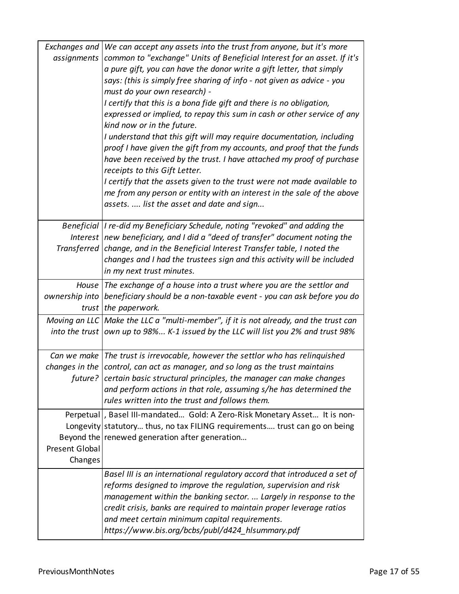| Exchanges and<br>assignments | We can accept any assets into the trust from anyone, but it's more<br>common to "exchange" Units of Beneficial Interest for an asset. If it's<br>a pure gift, you can have the donor write a gift letter, that simply<br>says: (this is simply free sharing of info - not given as advice - you<br>must do your own research) -<br>I certify that this is a bona fide gift and there is no obligation,<br>expressed or implied, to repay this sum in cash or other service of any<br>kind now or in the future.<br>I understand that this gift will may require documentation, including<br>proof I have given the gift from my accounts, and proof that the funds<br>have been received by the trust. I have attached my proof of purchase<br>receipts to this Gift Letter.<br>I certify that the assets given to the trust were not made available to<br>me from any person or entity with an interest in the sale of the above<br>assets.  list the asset and date and sign |
|------------------------------|--------------------------------------------------------------------------------------------------------------------------------------------------------------------------------------------------------------------------------------------------------------------------------------------------------------------------------------------------------------------------------------------------------------------------------------------------------------------------------------------------------------------------------------------------------------------------------------------------------------------------------------------------------------------------------------------------------------------------------------------------------------------------------------------------------------------------------------------------------------------------------------------------------------------------------------------------------------------------------|
|                              | Beneficial  I re-did my Beneficiary Schedule, noting "revoked" and adding the<br>Interest  new beneficiary, and I did a "deed of transfer" document noting the                                                                                                                                                                                                                                                                                                                                                                                                                                                                                                                                                                                                                                                                                                                                                                                                                 |
|                              | Transferred change, and in the Beneficial Interest Transfer table, I noted the<br>changes and I had the trustees sign and this activity will be included<br>in my next trust minutes.                                                                                                                                                                                                                                                                                                                                                                                                                                                                                                                                                                                                                                                                                                                                                                                          |
|                              | House The exchange of a house into a trust where you are the settlor and                                                                                                                                                                                                                                                                                                                                                                                                                                                                                                                                                                                                                                                                                                                                                                                                                                                                                                       |
| ownership into<br>trust      | beneficiary should be a non-taxable event - you can ask before you do<br>the paperwork.                                                                                                                                                                                                                                                                                                                                                                                                                                                                                                                                                                                                                                                                                                                                                                                                                                                                                        |
|                              | Moving an LLC   Make the LLC a "multi-member", if it is not already, and the trust can<br>into the trust own up to 98% $K-1$ issued by the LLC will list you 2% and trust 98%                                                                                                                                                                                                                                                                                                                                                                                                                                                                                                                                                                                                                                                                                                                                                                                                  |
|                              | Can we make The trust is irrevocable, however the settlor who has relinquished                                                                                                                                                                                                                                                                                                                                                                                                                                                                                                                                                                                                                                                                                                                                                                                                                                                                                                 |
|                              | changes in the control, can act as manager, and so long as the trust maintains                                                                                                                                                                                                                                                                                                                                                                                                                                                                                                                                                                                                                                                                                                                                                                                                                                                                                                 |
|                              | future? certain basic structural principles, the manager can make changes<br>and perform actions in that role, assuming s/he has determined the<br>rules written into the trust and follows them.                                                                                                                                                                                                                                                                                                                                                                                                                                                                                                                                                                                                                                                                                                                                                                              |
|                              | Perpetual  , Basel III-mandated Gold: A Zero-Risk Monetary Asset It is non-                                                                                                                                                                                                                                                                                                                                                                                                                                                                                                                                                                                                                                                                                                                                                                                                                                                                                                    |
|                              | Longevity statutory thus, no tax FILING requirements trust can go on being                                                                                                                                                                                                                                                                                                                                                                                                                                                                                                                                                                                                                                                                                                                                                                                                                                                                                                     |
|                              | Beyond the renewed generation after generation                                                                                                                                                                                                                                                                                                                                                                                                                                                                                                                                                                                                                                                                                                                                                                                                                                                                                                                                 |
| Present Global               |                                                                                                                                                                                                                                                                                                                                                                                                                                                                                                                                                                                                                                                                                                                                                                                                                                                                                                                                                                                |
| Changes                      |                                                                                                                                                                                                                                                                                                                                                                                                                                                                                                                                                                                                                                                                                                                                                                                                                                                                                                                                                                                |
|                              | Basel III is an international regulatory accord that introduced a set of                                                                                                                                                                                                                                                                                                                                                                                                                                                                                                                                                                                                                                                                                                                                                                                                                                                                                                       |
|                              | reforms designed to improve the regulation, supervision and risk                                                                                                                                                                                                                                                                                                                                                                                                                                                                                                                                                                                                                                                                                                                                                                                                                                                                                                               |
|                              | management within the banking sector.  Largely in response to the                                                                                                                                                                                                                                                                                                                                                                                                                                                                                                                                                                                                                                                                                                                                                                                                                                                                                                              |
|                              | credit crisis, banks are required to maintain proper leverage ratios                                                                                                                                                                                                                                                                                                                                                                                                                                                                                                                                                                                                                                                                                                                                                                                                                                                                                                           |
|                              | and meet certain minimum capital requirements.                                                                                                                                                                                                                                                                                                                                                                                                                                                                                                                                                                                                                                                                                                                                                                                                                                                                                                                                 |
|                              | https://www.bis.org/bcbs/publ/d424_hlsummary.pdf                                                                                                                                                                                                                                                                                                                                                                                                                                                                                                                                                                                                                                                                                                                                                                                                                                                                                                                               |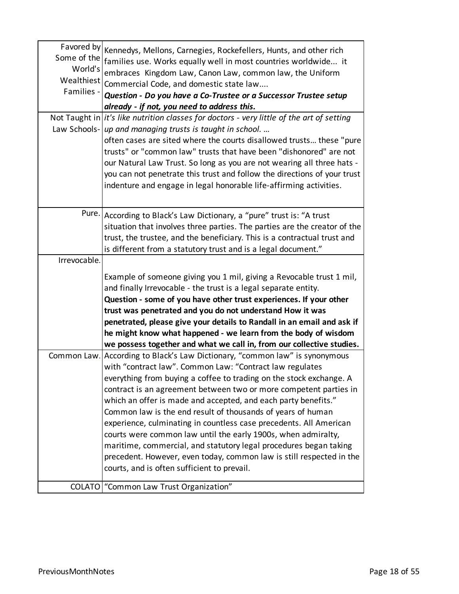| Some of the<br>World's<br>Wealthiest<br>Families - | Favored by Kennedys, Mellons, Carnegies, Rockefellers, Hunts, and other rich<br>families use. Works equally well in most countries worldwide it<br>embraces Kingdom Law, Canon Law, common law, the Uniform<br>Commercial Code, and domestic state law<br>Question - Do you have a Co-Trustee or a Successor Trustee setup<br>already - if not, you need to address this. |
|----------------------------------------------------|---------------------------------------------------------------------------------------------------------------------------------------------------------------------------------------------------------------------------------------------------------------------------------------------------------------------------------------------------------------------------|
|                                                    | Not Taught in $\left  i t \right $ 's like nutrition classes for doctors - very little of the art of setting                                                                                                                                                                                                                                                              |
|                                                    | Law Schools- up and managing trusts is taught in school                                                                                                                                                                                                                                                                                                                   |
|                                                    | often cases are sited where the courts disallowed trusts these "pure<br>trusts" or "common law" trusts that have been "dishonored" are not<br>our Natural Law Trust. So long as you are not wearing all three hats -<br>you can not penetrate this trust and follow the directions of your trust<br>indenture and engage in legal honorable life-affirming activities.    |
|                                                    |                                                                                                                                                                                                                                                                                                                                                                           |
|                                                    | Pure. According to Black's Law Dictionary, a "pure" trust is: "A trust                                                                                                                                                                                                                                                                                                    |
|                                                    | situation that involves three parties. The parties are the creator of the                                                                                                                                                                                                                                                                                                 |
|                                                    | trust, the trustee, and the beneficiary. This is a contractual trust and                                                                                                                                                                                                                                                                                                  |
|                                                    | is different from a statutory trust and is a legal document."                                                                                                                                                                                                                                                                                                             |
| Irrevocable.                                       |                                                                                                                                                                                                                                                                                                                                                                           |
|                                                    | Example of someone giving you 1 mil, giving a Revocable trust 1 mil,                                                                                                                                                                                                                                                                                                      |
|                                                    | and finally Irrevocable - the trust is a legal separate entity.                                                                                                                                                                                                                                                                                                           |
|                                                    | Question - some of you have other trust experiences. If your other                                                                                                                                                                                                                                                                                                        |
|                                                    | trust was penetrated and you do not understand How it was                                                                                                                                                                                                                                                                                                                 |
|                                                    | penetrated, please give your details to Randall in an email and ask if                                                                                                                                                                                                                                                                                                    |
|                                                    | he might know what happened - we learn from the body of wisdom                                                                                                                                                                                                                                                                                                            |
|                                                    | we possess together and what we call in, from our collective studies.                                                                                                                                                                                                                                                                                                     |
|                                                    | Common Law. According to Black's Law Dictionary, "common law" is synonymous                                                                                                                                                                                                                                                                                               |
|                                                    | with "contract law". Common Law: "Contract law regulates                                                                                                                                                                                                                                                                                                                  |
|                                                    | everything from buying a coffee to trading on the stock exchange. A                                                                                                                                                                                                                                                                                                       |
|                                                    | contract is an agreement between two or more competent parties in                                                                                                                                                                                                                                                                                                         |
|                                                    | which an offer is made and accepted, and each party benefits."                                                                                                                                                                                                                                                                                                            |
|                                                    | Common law is the end result of thousands of years of human                                                                                                                                                                                                                                                                                                               |
|                                                    | experience, culminating in countless case precedents. All American                                                                                                                                                                                                                                                                                                        |
|                                                    | courts were common law until the early 1900s, when admiralty,                                                                                                                                                                                                                                                                                                             |
|                                                    | maritime, commercial, and statutory legal procedures began taking                                                                                                                                                                                                                                                                                                         |
|                                                    | precedent. However, even today, common law is still respected in the                                                                                                                                                                                                                                                                                                      |
|                                                    | courts, and is often sufficient to prevail.                                                                                                                                                                                                                                                                                                                               |
|                                                    |                                                                                                                                                                                                                                                                                                                                                                           |
|                                                    | COLATO   "Common Law Trust Organization"                                                                                                                                                                                                                                                                                                                                  |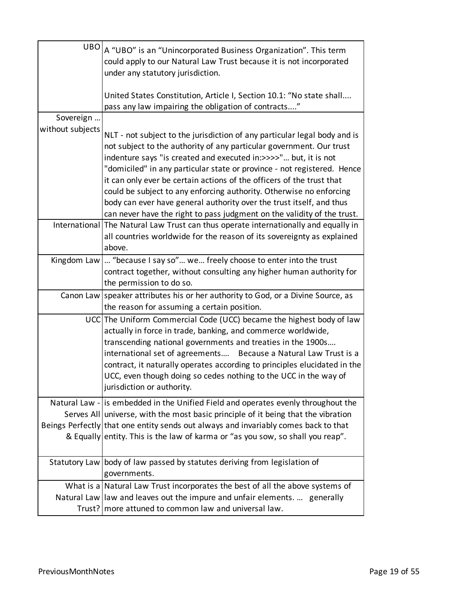|                  | $UBO _A$ "UBO" is an "Unincorporated Business Organization". This term<br>could apply to our Natural Law Trust because it is not incorporated<br>under any statutory jurisdiction.                                                                                                                                                                                                                                                                     |
|------------------|--------------------------------------------------------------------------------------------------------------------------------------------------------------------------------------------------------------------------------------------------------------------------------------------------------------------------------------------------------------------------------------------------------------------------------------------------------|
|                  | United States Constitution, Article I, Section 10.1: "No state shall<br>pass any law impairing the obligation of contracts"                                                                                                                                                                                                                                                                                                                            |
| Sovereign        |                                                                                                                                                                                                                                                                                                                                                                                                                                                        |
| without subjects | NLT - not subject to the jurisdiction of any particular legal body and is<br>not subject to the authority of any particular government. Our trust<br>indenture says "is created and executed in:>>>>" but, it is not<br>"domiciled" in any particular state or province - not registered. Hence<br>it can only ever be certain actions of the officers of the trust that<br>could be subject to any enforcing authority. Otherwise no enforcing        |
|                  | body can ever have general authority over the trust itself, and thus<br>can never have the right to pass judgment on the validity of the trust.                                                                                                                                                                                                                                                                                                        |
|                  | International The Natural Law Trust can thus operate internationally and equally in<br>all countries worldwide for the reason of its sovereignty as explained<br>above.                                                                                                                                                                                                                                                                                |
|                  | Kingdom Law   "because I say so" we freely choose to enter into the trust<br>contract together, without consulting any higher human authority for<br>the permission to do so.                                                                                                                                                                                                                                                                          |
|                  | Canon Law speaker attributes his or her authority to God, or a Divine Source, as<br>the reason for assuming a certain position.                                                                                                                                                                                                                                                                                                                        |
|                  | UCC The Uniform Commercial Code (UCC) became the highest body of law<br>actually in force in trade, banking, and commerce worldwide,<br>transcending national governments and treaties in the 1900s<br>international set of agreements Because a Natural Law Trust is a<br>contract, it naturally operates according to principles elucidated in the<br>UCC, even though doing so cedes nothing to the UCC in the way of<br>jurisdiction or authority. |
|                  | Natural Law - is embedded in the Unified Field and operates evenly throughout the<br>Serves All universe, with the most basic principle of it being that the vibration<br>Beings Perfectly that one entity sends out always and invariably comes back to that<br>& Equally entity. This is the law of karma or "as you sow, so shall you reap".                                                                                                        |
|                  | Statutory Law   body of law passed by statutes deriving from legislation of<br>governments.                                                                                                                                                                                                                                                                                                                                                            |
|                  | What is a Natural Law Trust incorporates the best of all the above systems of                                                                                                                                                                                                                                                                                                                                                                          |
|                  | Natural Law llaw and leaves out the impure and unfair elements.  generally<br>Trust?   more attuned to common law and universal law.                                                                                                                                                                                                                                                                                                                   |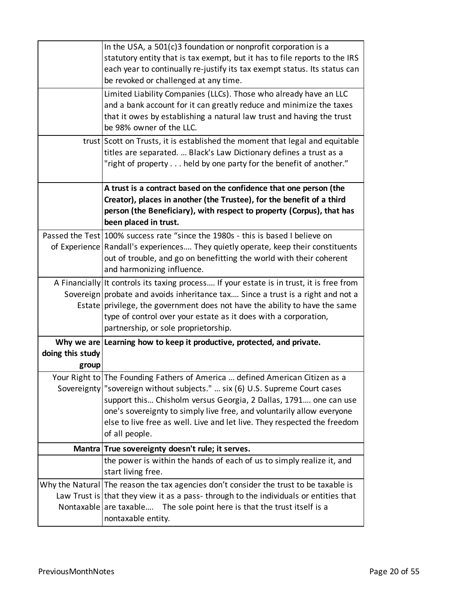|                           | In the USA, a $501(c)3$ foundation or nonprofit corporation is a<br>statutory entity that is tax exempt, but it has to file reports to the IRS<br>each year to continually re-justify its tax exempt status. Its status can<br>be revoked or challenged at any time.                                                                                                                                     |
|---------------------------|----------------------------------------------------------------------------------------------------------------------------------------------------------------------------------------------------------------------------------------------------------------------------------------------------------------------------------------------------------------------------------------------------------|
|                           | Limited Liability Companies (LLCs). Those who already have an LLC<br>and a bank account for it can greatly reduce and minimize the taxes<br>that it owes by establishing a natural law trust and having the trust<br>be 98% owner of the LLC.                                                                                                                                                            |
|                           | trust Scott on Trusts, it is established the moment that legal and equitable<br>titles are separated.  Black's Law Dictionary defines a trust as a<br>"right of property held by one party for the benefit of another."                                                                                                                                                                                  |
|                           | A trust is a contract based on the confidence that one person (the<br>Creator), places in another (the Trustee), for the benefit of a third<br>person (the Beneficiary), with respect to property (Corpus), that has<br>been placed in trust.                                                                                                                                                            |
|                           | Passed the Test 100% success rate "since the 1980s - this is based I believe on<br>of Experience Randall's experiences They quietly operate, keep their constituents<br>out of trouble, and go on benefitting the world with their coherent<br>and harmonizing influence.                                                                                                                                |
|                           | A Financially It controls its taxing process If your estate is in trust, it is free from<br>Sovereign probate and avoids inheritance tax Since a trust is a right and not a<br>Estate privilege, the government does not have the ability to have the same<br>type of control over your estate as it does with a corporation,<br>partnership, or sole proprietorship.                                    |
| doing this study<br>group | Why we are Learning how to keep it productive, protected, and private.                                                                                                                                                                                                                                                                                                                                   |
|                           | Your Right to The Founding Fathers of America  defined American Citizen as a<br>Sovereignty   "sovereign without subjects."  six (6) U.S. Supreme Court cases<br>support this Chisholm versus Georgia, 2 Dallas, 1791 one can use<br>one's sovereignty to simply live free, and voluntarily allow everyone<br>else to live free as well. Live and let live. They respected the freedom<br>of all people. |
|                           | Mantra True sovereignty doesn't rule; it serves.                                                                                                                                                                                                                                                                                                                                                         |
|                           | the power is within the hands of each of us to simply realize it, and<br>start living free.                                                                                                                                                                                                                                                                                                              |
|                           | Why the Natural The reason the tax agencies don't consider the trust to be taxable is<br>Law Trust is that they view it as a pass-through to the individuals or entities that<br>Nontaxable are taxable The sole point here is that the trust itself is a<br>nontaxable entity.                                                                                                                          |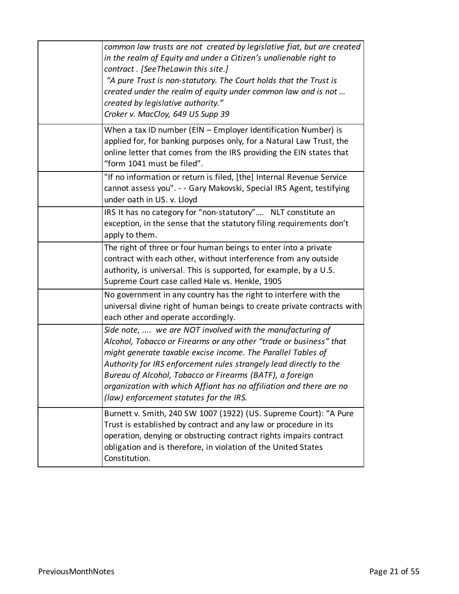| common law trusts are not created by legislative fiat, but are created<br>in the realm of Equity and under a Citizen's unalienable right to<br>contract. [SeeTheLawin this site.]<br>"A pure Trust is non-statutory. The Court holds that the Trust is<br>created under the realm of equity under common law and is not<br>created by legislative authority."<br>Croker v. MacCloy, 649 US Supp 39                                                  |
|-----------------------------------------------------------------------------------------------------------------------------------------------------------------------------------------------------------------------------------------------------------------------------------------------------------------------------------------------------------------------------------------------------------------------------------------------------|
| When a tax ID number (EIN - Employer Identification Number) is<br>applied for, for banking purposes only, for a Natural Law Trust, the<br>online letter that comes from the IRS providing the EIN states that<br>"form 1041 must be filed".                                                                                                                                                                                                         |
| "If no information or return is filed, [the] Internal Revenue Service<br>cannot assess you". - - Gary Makovski, Special IRS Agent, testifying<br>under oath in US. v. Lloyd                                                                                                                                                                                                                                                                         |
| IRS It has no category for "non-statutory" NLT constitute an<br>exception, in the sense that the statutory filing requirements don't<br>apply to them.                                                                                                                                                                                                                                                                                              |
| The right of three or four human beings to enter into a private<br>contract with each other, without interference from any outside<br>authority, is universal. This is supported, for example, by a U.S.<br>Supreme Court case called Hale vs. Henkle, 1905                                                                                                                                                                                         |
| No government in any country has the right to interfere with the<br>universal divine right of human beings to create private contracts with<br>each other and operate accordingly.                                                                                                                                                                                                                                                                  |
| Side note,  we are NOT involved with the manufacturing of<br>Alcohol, Tobacco or Firearms or any other "trade or business" that<br>might generate taxable excise income. The Parallel Tables of<br>Authority for IRS enforcement rules strangely lead directly to the<br>Bureau of Alcohol, Tobacco or Firearms (BATF), a foreign<br>organization with which Affiant has no affiliation and there are no<br>(law) enforcement statutes for the IRS. |
| Burnett v. Smith, 240 SW 1007 (1922) (US. Supreme Court): "A Pure<br>Trust is established by contract and any law or procedure in its<br>operation, denying or obstructing contract rights impairs contract<br>obligation and is therefore, in violation of the United States<br>Constitution.                                                                                                                                                      |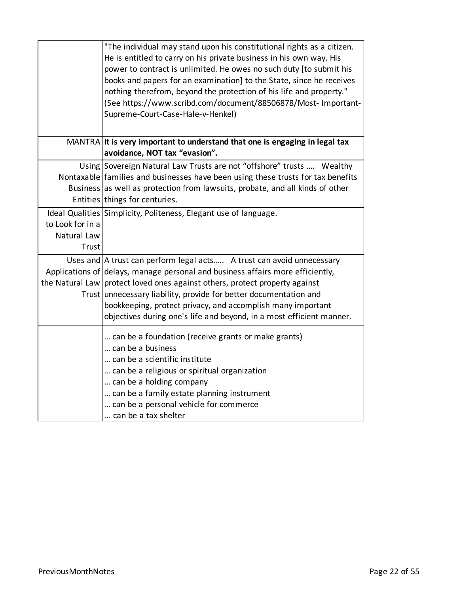|                  | "The individual may stand upon his constitutional rights as a citizen.           |
|------------------|----------------------------------------------------------------------------------|
|                  | He is entitled to carry on his private business in his own way. His              |
|                  | power to contract is unlimited. He owes no such duty [to submit his              |
|                  | books and papers for an examination] to the State, since he receives             |
|                  | nothing therefrom, beyond the protection of his life and property."              |
|                  | (See https://www.scribd.com/document/88506878/Most- Important-                   |
|                  | Supreme-Court-Case-Hale-v-Henkel)                                                |
|                  |                                                                                  |
|                  | MANTRA It is very important to understand that one is engaging in legal tax      |
|                  | avoidance, NOT tax "evasion".                                                    |
|                  | Using Sovereign Natural Law Trusts are not "offshore" trusts  Wealthy            |
|                  | Nontaxable families and businesses have been using these trusts for tax benefits |
|                  | Business as well as protection from lawsuits, probate, and all kinds of other    |
|                  | Entities things for centuries.                                                   |
|                  | Ideal Qualities Simplicity, Politeness, Elegant use of language.                 |
| to Look for in a |                                                                                  |
| Natural Law      |                                                                                  |
| Trust            |                                                                                  |
|                  | Uses and   A trust can perform legal acts A trust can avoid unnecessary          |
|                  | Applications of delays, manage personal and business affairs more efficiently,   |
|                  | the Natural Law protect loved ones against others, protect property against      |
|                  | Trust unnecessary liability, provide for better documentation and                |
|                  | bookkeeping, protect privacy, and accomplish many important                      |
|                  | objectives during one's life and beyond, in a most efficient manner.             |
|                  | can be a foundation (receive grants or make grants)                              |
|                  | can be a business                                                                |
|                  | can be a scientific institute                                                    |
|                  | can be a religious or spiritual organization                                     |
|                  | can be a holding company                                                         |
|                  | can be a family estate planning instrument                                       |
|                  | can be a personal vehicle for commerce                                           |
|                  | can be a tax shelter                                                             |
|                  |                                                                                  |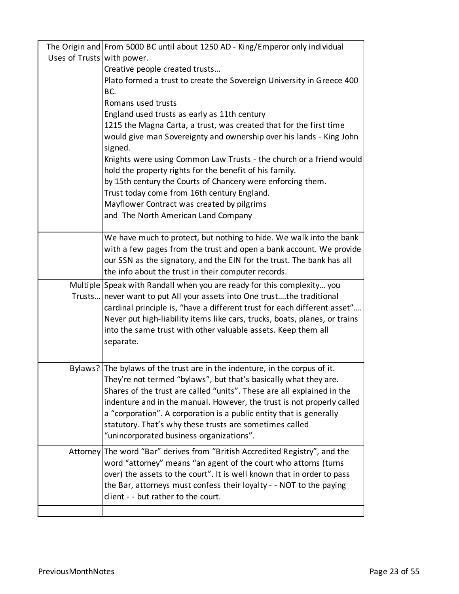|                            | The Origin and From 5000 BC until about 1250 AD - King/Emperor only individual                                                                |
|----------------------------|-----------------------------------------------------------------------------------------------------------------------------------------------|
| Uses of Trusts with power. |                                                                                                                                               |
|                            | Creative people created trusts                                                                                                                |
|                            | Plato formed a trust to create the Sovereign University in Greece 400                                                                         |
|                            | BC.                                                                                                                                           |
|                            | Romans used trusts                                                                                                                            |
|                            | England used trusts as early as 11th century                                                                                                  |
|                            | 1215 the Magna Carta, a trust, was created that for the first time                                                                            |
|                            | would give man Sovereignty and ownership over his lands - King John                                                                           |
|                            | signed.                                                                                                                                       |
|                            | Knights were using Common Law Trusts - the church or a friend would<br>hold the property rights for the benefit of his family.                |
|                            | by 15th century the Courts of Chancery were enforcing them.                                                                                   |
|                            | Trust today come from 16th century England.                                                                                                   |
|                            | Mayflower Contract was created by pilgrims                                                                                                    |
|                            | and The North American Land Company                                                                                                           |
|                            |                                                                                                                                               |
|                            | We have much to protect, but nothing to hide. We walk into the bank                                                                           |
|                            | with a few pages from the trust and open a bank account. We provide                                                                           |
|                            | our SSN as the signatory, and the EIN for the trust. The bank has all                                                                         |
|                            | the info about the trust in their computer records.                                                                                           |
|                            | Multiple Speak with Randall when you are ready for this complexity you                                                                        |
|                            | Trusts never want to put All your assets into One trustthe traditional                                                                        |
|                            | cardinal principle is, "have a different trust for each different asset"                                                                      |
|                            | Never put high-liability items like cars, trucks, boats, planes, or trains                                                                    |
|                            | into the same trust with other valuable assets. Keep them all                                                                                 |
|                            | separate.                                                                                                                                     |
|                            |                                                                                                                                               |
|                            | Bylaws? The bylaws of the trust are in the indenture, in the corpus of it.                                                                    |
|                            | They're not termed "bylaws", but that's basically what they are.                                                                              |
|                            | Shares of the trust are called "units". These are all explained in the                                                                        |
|                            | indenture and in the manual. However, the trust is not properly called<br>a "corporation". A corporation is a public entity that is generally |
|                            | statutory. That's why these trusts are sometimes called                                                                                       |
|                            | "unincorporated business organizations".                                                                                                      |
|                            | Attorney The word "Bar" derives from "British Accredited Registry", and the                                                                   |
|                            | word "attorney" means "an agent of the court who attorns (turns                                                                               |
|                            | over) the assets to the court". It is well known that in order to pass                                                                        |
|                            | the Bar, attorneys must confess their loyalty - - NOT to the paying                                                                           |
|                            | client - - but rather to the court.                                                                                                           |
|                            |                                                                                                                                               |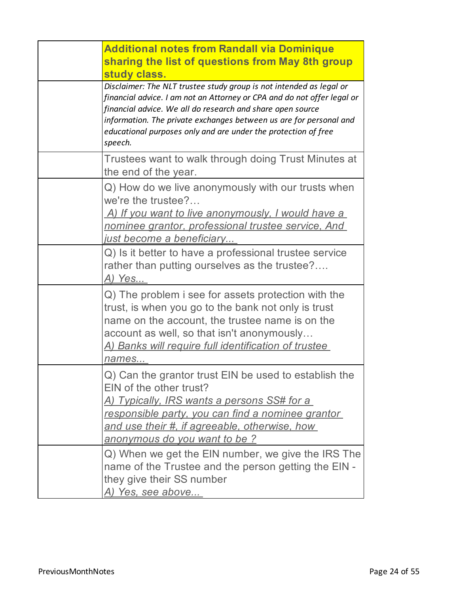| <b>Additional notes from Randall via Dominique</b><br>sharing the list of questions from May 8th group<br>study class.                                                                                                                                                                                                                                          |
|-----------------------------------------------------------------------------------------------------------------------------------------------------------------------------------------------------------------------------------------------------------------------------------------------------------------------------------------------------------------|
| Disclaimer: The NLT trustee study group is not intended as legal or<br>financial advice. I am not an Attorney or CPA and do not offer legal or<br>financial advice. We all do research and share open source<br>information. The private exchanges between us are for personal and<br>educational purposes only and are under the protection of free<br>speech. |
| Trustees want to walk through doing Trust Minutes at<br>the end of the year.                                                                                                                                                                                                                                                                                    |
| Q) How do we live anonymously with our trusts when<br>we're the trustee?<br>A) If you want to live anonymously, I would have a<br>nominee grantor, professional trustee service, And<br><u>just become a beneficiary</u>                                                                                                                                        |
| Q) Is it better to have a professional trustee service<br>rather than putting ourselves as the trustee?<br>A) Yes                                                                                                                                                                                                                                               |
| Q) The problem i see for assets protection with the<br>trust, is when you go to the bank not only is trust<br>name on the account, the trustee name is on the<br>account as well, so that isn't anonymously<br><u>A) Banks will require full identification of trustee_</u><br>names                                                                            |
| Q) Can the grantor trust EIN be used to establish the<br>EIN of the other trust?<br>A) Typically, IRS wants a persons SS# for a<br>responsible party, you can find a nominee grantor<br>and use their #, if agreeable, otherwise, how<br>anonymous do you want to be?                                                                                           |
| Q) When we get the EIN number, we give the IRS The<br>name of the Trustee and the person getting the EIN -<br>they give their SS number<br><u>A) Yes, see above</u>                                                                                                                                                                                             |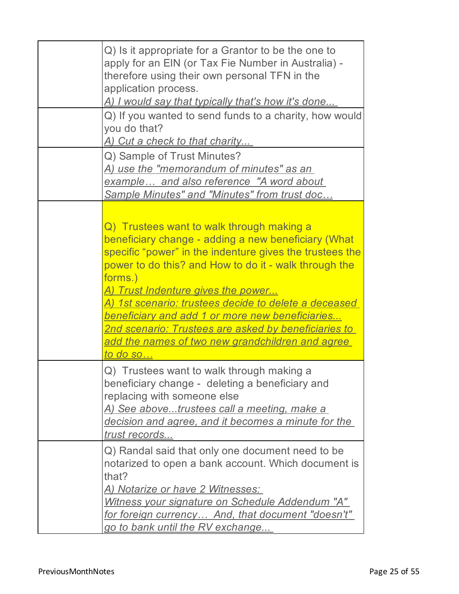| Q) Is it appropriate for a Grantor to be the one to<br>apply for an EIN (or Tax Fie Number in Australia) -<br>therefore using their own personal TFN in the<br>application process.<br><u>A) I would say that typically that's how it's done</u><br>Q) If you wanted to send funds to a charity, how would<br>you do that?<br><u>A) Cut a check to that charity</u>                                                                                                                                                                       |
|-------------------------------------------------------------------------------------------------------------------------------------------------------------------------------------------------------------------------------------------------------------------------------------------------------------------------------------------------------------------------------------------------------------------------------------------------------------------------------------------------------------------------------------------|
| Q) Sample of Trust Minutes?<br><u>A) use the "memorandum of minutes" as an-</u><br>example and also reference "A word about<br>Sample Minutes" and "Minutes" from trust doc                                                                                                                                                                                                                                                                                                                                                               |
| Q) Trustees want to walk through making a<br>beneficiary change - adding a new beneficiary (What<br>specific "power" in the indenture gives the trustees the<br>power to do this? and How to do it - walk through the<br>forms.)<br><u>A) Trust Indenture gives the power</u><br><u>A) 1st scenario: trustees decide to delete a deceased </u><br><u>beneficiary and add 1 or more new beneficiaries</u><br><u> 2nd scenario: Trustees are asked by beneficiaries to </u><br>add the names of two new grandchildren and agree<br>to do so |
| Q) Trustees want to walk through making a<br>beneficiary change - deleting a beneficiary and<br>replacing with someone else<br>A) See abovetrustees call a meeting, make a<br>decision and agree, and it becomes a minute for the<br>trust records                                                                                                                                                                                                                                                                                        |
| Q) Randal said that only one document need to be<br>notarized to open a bank account. Which document is<br>that?<br><u>A) Notarize or have 2 Witnesses: </u><br>Witness your signature on Schedule Addendum "A"<br>for foreign currency And, that document "doesn't"<br>go to bank until the RV exchange                                                                                                                                                                                                                                  |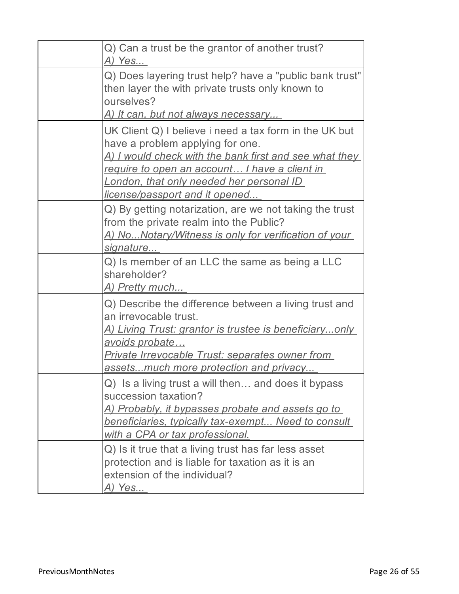| Q) Can a trust be the grantor of another trust?<br><u>A) Yes</u>                                                                                                                                                                                                                            |
|---------------------------------------------------------------------------------------------------------------------------------------------------------------------------------------------------------------------------------------------------------------------------------------------|
| Q) Does layering trust help? have a "public bank trust"<br>then layer the with private trusts only known to<br>ourselves?<br><u>A) It can, but not always necessary</u>                                                                                                                     |
| UK Client Q) I believe i need a tax form in the UK but<br>have a problem applying for one.<br><u>A) I would check with the bank first and see what they </u><br>require to open an account I have a client in<br>London, that only needed her personal ID<br>license/passport and it opened |
| Q) By getting notarization, are we not taking the trust<br>from the private realm into the Public?<br><u>A) NoNotary/Witness is only for verification of your</u><br>signature                                                                                                              |
| Q) Is member of an LLC the same as being a LLC<br>shareholder?<br><u>A) Pretty much</u>                                                                                                                                                                                                     |
| Q) Describe the difference between a living trust and<br>an irrevocable trust.<br><u>A) Living Trust: grantor is trustee is beneficiaryonly</u><br>avoids probate<br><u> Private Irrevocable Trust: separates owner from </u><br>assetsmuch more protection and privacy                     |
| Q) Is a living trust a will then and does it bypass<br>succession taxation?<br><u>A) Probably, it bypasses probate and assets go to </u><br>beneficiaries, typically tax-exempt Need to consult<br><u>with a CPA or tax professional.</u>                                                   |
| Q) Is it true that a living trust has far less asset<br>protection and is liable for taxation as it is an<br>extension of the individual?<br><u>A) Yes</u>                                                                                                                                  |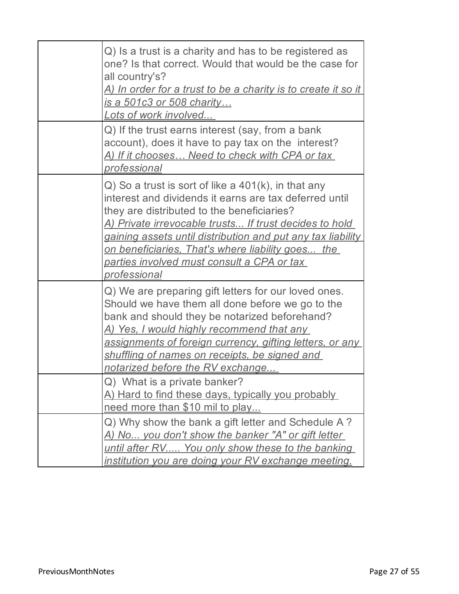| Q) Is a trust is a charity and has to be registered as<br>one? Is that correct. Would that would be the case for<br>all country's?<br><u>A) In order for a trust to be a charity is to create it so it </u><br>is a 501c3 or 508 charity<br>Lots of work involved                                                                                                                                                             |
|-------------------------------------------------------------------------------------------------------------------------------------------------------------------------------------------------------------------------------------------------------------------------------------------------------------------------------------------------------------------------------------------------------------------------------|
| Q) If the trust earns interest (say, from a bank<br>account), does it have to pay tax on the interest?<br>A) If it chooses Need to check with CPA or tax<br>professional                                                                                                                                                                                                                                                      |
| $Q$ ) So a trust is sort of like a $401(k)$ , in that any<br>interest and dividends it earns are tax deferred until<br>they are distributed to the beneficiaries?<br>A) Private irrevocable trusts If trust decides to hold<br>gaining assets until distribution and put any tax liability<br><u>on beneficiaries, That's where liability goes the </u><br><u>parties involved must consult a CPA or tax.</u><br>professional |
| Q) We are preparing gift letters for our loved ones.<br>Should we have them all done before we go to the<br>bank and should they be notarized beforehand?<br><u>A) Yes, I would highly recommend that any </u><br>assignments of foreign currency, gifting letters, or any<br>shuffling of names on receipts, be signed and<br>notarized before the RV exchange                                                               |
| Q) What is a private banker?<br>A) Hard to find these days, typically you probably<br>need more than \$10 mil to play                                                                                                                                                                                                                                                                                                         |
| Q) Why show the bank a gift letter and Schedule A?<br>A) No you don't show the banker "A" or gift letter<br>until after RV You only show these to the banking<br><u>institution you are doing your RV exchange meeting.</u>                                                                                                                                                                                                   |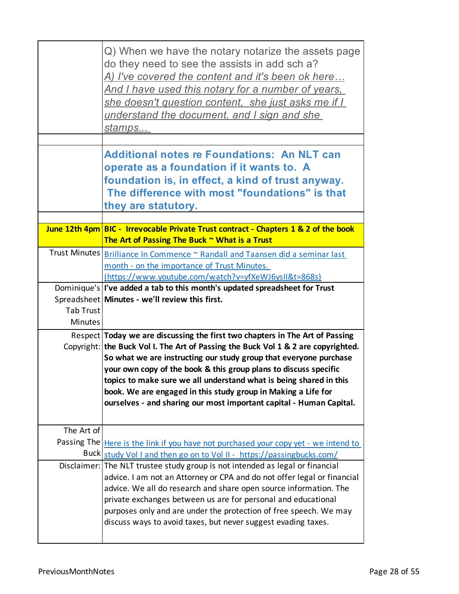|                  | Q) When we have the notary notarize the assets page<br>do they need to see the assists in add sch a?<br>A) I've covered the content and it's been ok here<br><u>And I have used this notary for a number of years, </u><br>she doesn't question content, she just asks me if I<br>understand the document, and I sign and she<br><u>stamps</u>                                                                                                                                                                           |
|------------------|--------------------------------------------------------------------------------------------------------------------------------------------------------------------------------------------------------------------------------------------------------------------------------------------------------------------------------------------------------------------------------------------------------------------------------------------------------------------------------------------------------------------------|
|                  | <b>Additional notes re Foundations: An NLT can</b><br>operate as a foundation if it wants to. A<br>foundation is, in effect, a kind of trust anyway.<br>The difference with most "foundations" is that<br>they are statutory.                                                                                                                                                                                                                                                                                            |
|                  | June 12th 4pm BIC - Irrevocable Private Trust contract - Chapters 1 & 2 of the book                                                                                                                                                                                                                                                                                                                                                                                                                                      |
|                  | The Art of Passing The Buck ~ What is a Trust                                                                                                                                                                                                                                                                                                                                                                                                                                                                            |
|                  | Trust Minutes   Brilliance In Commence ~ Randall and Taansen did a seminar last<br>month - on the importance of Trust Minutes.<br>https://www.youtube.com/watch?v=yfXeWJ6ysII&t=868s)                                                                                                                                                                                                                                                                                                                                    |
|                  | Dominique's   I've added a tab to this month's updated spreadsheet for Trust                                                                                                                                                                                                                                                                                                                                                                                                                                             |
|                  | Spreadsheet Minutes - we'll review this first.                                                                                                                                                                                                                                                                                                                                                                                                                                                                           |
| <b>Tab Trust</b> |                                                                                                                                                                                                                                                                                                                                                                                                                                                                                                                          |
| <b>Minutes</b>   |                                                                                                                                                                                                                                                                                                                                                                                                                                                                                                                          |
|                  | Respect Today we are discussing the first two chapters in The Art of Passing<br>Copyright: the Buck Vol I. The Art of Passing the Buck Vol 1 & 2 are copyrighted.<br>So what we are instructing our study group that everyone purchase<br>your own copy of the book & this group plans to discuss specific<br>topics to make sure we all understand what is being shared in this<br>book. We are engaged in this study group in Making a Life for<br>ourselves - and sharing our most important capital - Human Capital. |
| The Art of       |                                                                                                                                                                                                                                                                                                                                                                                                                                                                                                                          |
| Passing The      | Here is the link if you have not purchased your copy yet - we intend to                                                                                                                                                                                                                                                                                                                                                                                                                                                  |
|                  | Buck study Vol I and then go on to Vol II - https://passingbucks.com/                                                                                                                                                                                                                                                                                                                                                                                                                                                    |
|                  | Disclaimer: The NLT trustee study group is not intended as legal or financial<br>advice. I am not an Attorney or CPA and do not offer legal or financial<br>advice. We all do research and share open source information. The<br>private exchanges between us are for personal and educational<br>purposes only and are under the protection of free speech. We may<br>discuss ways to avoid taxes, but never suggest evading taxes.                                                                                     |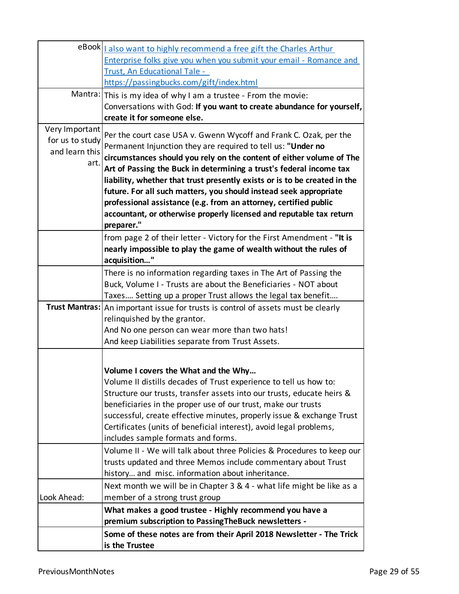|                 | eBook   also want to highly recommend a free gift the Charles Arthur                |
|-----------------|-------------------------------------------------------------------------------------|
|                 | Enterprise folks give you when you submit your email - Romance and                  |
|                 | Trust, An Educational Tale -                                                        |
|                 | https://passingbucks.com/gift/index.html                                            |
|                 | Mantra: This is my idea of why I am a trustee - From the movie:                     |
|                 | Conversations with God: If you want to create abundance for yourself,               |
|                 | create it for someone else.                                                         |
| Very Important  | Per the court case USA v. Gwenn Wycoff and Frank C. Ozak, per the                   |
| for us to study | Permanent Injunction they are required to tell us: "Under no                        |
| and learn this  | circumstances should you rely on the content of either volume of The                |
| art.            | Art of Passing the Buck in determining a trust's federal income tax                 |
|                 | liability, whether that trust presently exists or is to be created in the           |
|                 | future. For all such matters, you should instead seek appropriate                   |
|                 | professional assistance (e.g. from an attorney, certified public                    |
|                 | accountant, or otherwise properly licensed and reputable tax return                 |
|                 | preparer."                                                                          |
|                 | from page 2 of their letter - Victory for the First Amendment - "It is              |
|                 | nearly impossible to play the game of wealth without the rules of                   |
|                 | acquisition"                                                                        |
|                 | There is no information regarding taxes in The Art of Passing the                   |
|                 | Buck, Volume I - Trusts are about the Beneficiaries - NOT about                     |
|                 | Taxes Setting up a proper Trust allows the legal tax benefit                        |
|                 | Trust Mantras:   An important issue for trusts is control of assets must be clearly |
|                 | relinquished by the grantor.                                                        |
|                 | And No one person can wear more than two hats!                                      |
|                 | And keep Liabilities separate from Trust Assets.                                    |
|                 |                                                                                     |
|                 | Volume I covers the What and the Why                                                |
|                 | Volume II distills decades of Trust experience to tell us how to:                   |
|                 | Structure our trusts, transfer assets into our trusts, educate heirs &              |
|                 | beneficiaries in the proper use of our trust, make our trusts                       |
|                 | successful, create effective minutes, properly issue & exchange Trust               |
|                 | Certificates (units of beneficial interest), avoid legal problems,                  |
|                 | includes sample formats and forms.                                                  |
|                 | Volume II - We will talk about three Policies & Procedures to keep our              |
|                 | trusts updated and three Memos include commentary about Trust                       |
|                 | history and misc. information about inheritance.                                    |
|                 | Next month we will be in Chapter 3 & 4 - what life might be like as a               |
| Look Ahead:     | member of a strong trust group                                                      |
|                 | What makes a good trustee - Highly recommend you have a                             |
|                 | premium subscription to Passing The Buck newsletters -                              |
|                 | Some of these notes are from their April 2018 Newsletter - The Trick                |
|                 | is the Trustee                                                                      |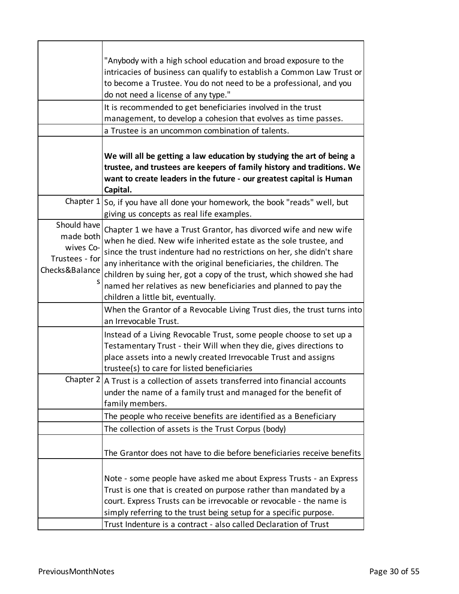|                                                                           | "Anybody with a high school education and broad exposure to the                                                                                                                                                                                                                                                                                                                                                                                                        |
|---------------------------------------------------------------------------|------------------------------------------------------------------------------------------------------------------------------------------------------------------------------------------------------------------------------------------------------------------------------------------------------------------------------------------------------------------------------------------------------------------------------------------------------------------------|
|                                                                           | intricacies of business can qualify to establish a Common Law Trust or                                                                                                                                                                                                                                                                                                                                                                                                 |
|                                                                           | to become a Trustee. You do not need to be a professional, and you                                                                                                                                                                                                                                                                                                                                                                                                     |
|                                                                           | do not need a license of any type."                                                                                                                                                                                                                                                                                                                                                                                                                                    |
|                                                                           | It is recommended to get beneficiaries involved in the trust                                                                                                                                                                                                                                                                                                                                                                                                           |
|                                                                           | management, to develop a cohesion that evolves as time passes.                                                                                                                                                                                                                                                                                                                                                                                                         |
|                                                                           | a Trustee is an uncommon combination of talents.                                                                                                                                                                                                                                                                                                                                                                                                                       |
|                                                                           | We will all be getting a law education by studying the art of being a<br>trustee, and trustees are keepers of family history and traditions. We<br>want to create leaders in the future - our greatest capital is Human<br>Capital.                                                                                                                                                                                                                                    |
| Chapter $1$                                                               | So, if you have all done your homework, the book "reads" well, but<br>giving us concepts as real life examples.                                                                                                                                                                                                                                                                                                                                                        |
| Should have<br>made both<br>wives Co-<br>Trustees - for<br>Checks&Balance | Chapter 1 we have a Trust Grantor, has divorced wife and new wife<br>when he died. New wife inherited estate as the sole trustee, and<br>since the trust indenture had no restrictions on her, she didn't share<br>any inheritance with the original beneficiaries, the children. The<br>children by suing her, got a copy of the trust, which showed she had<br>named her relatives as new beneficiaries and planned to pay the<br>children a little bit, eventually. |
|                                                                           | When the Grantor of a Revocable Living Trust dies, the trust turns into<br>an Irrevocable Trust.                                                                                                                                                                                                                                                                                                                                                                       |
|                                                                           | Instead of a Living Revocable Trust, some people choose to set up a<br>Testamentary Trust - their Will when they die, gives directions to<br>place assets into a newly created Irrevocable Trust and assigns<br>trustee(s) to care for listed beneficiaries                                                                                                                                                                                                            |
|                                                                           | Chapter $2 A$ Trust is a collection of assets transferred into financial accounts<br>under the name of a family trust and managed for the benefit of<br>family members.                                                                                                                                                                                                                                                                                                |
|                                                                           | The people who receive benefits are identified as a Beneficiary                                                                                                                                                                                                                                                                                                                                                                                                        |
|                                                                           | The collection of assets is the Trust Corpus (body)                                                                                                                                                                                                                                                                                                                                                                                                                    |
|                                                                           | The Grantor does not have to die before beneficiaries receive benefits                                                                                                                                                                                                                                                                                                                                                                                                 |
|                                                                           | Note - some people have asked me about Express Trusts - an Express<br>Trust is one that is created on purpose rather than mandated by a<br>court. Express Trusts can be irrevocable or revocable - the name is<br>simply referring to the trust being setup for a specific purpose.<br>Trust Indenture is a contract - also called Declaration of Trust                                                                                                                |
|                                                                           |                                                                                                                                                                                                                                                                                                                                                                                                                                                                        |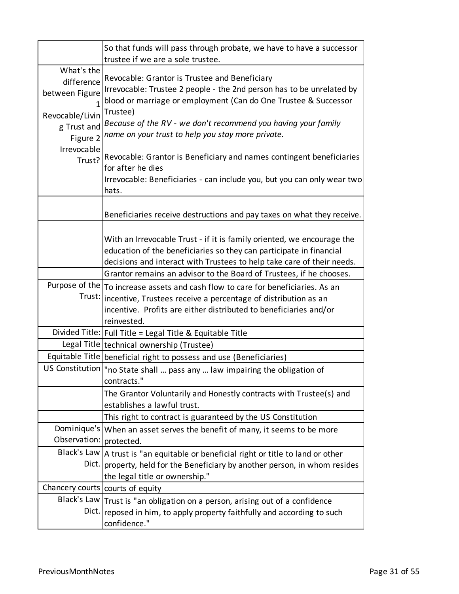|                                                                                          | So that funds will pass through probate, we have to have a successor<br>trustee if we are a sole trustee.                                                                                                                                                                                                                   |
|------------------------------------------------------------------------------------------|-----------------------------------------------------------------------------------------------------------------------------------------------------------------------------------------------------------------------------------------------------------------------------------------------------------------------------|
| What's the<br>difference<br>between Figure<br>Revocable/Livin<br>g Trust and<br>Figure 2 | Revocable: Grantor is Trustee and Beneficiary<br>Irrevocable: Trustee 2 people - the 2nd person has to be unrelated by<br>blood or marriage or employment (Can do One Trustee & Successor<br>Trustee)<br>Because of the RV - we don't recommend you having your family<br>name on your trust to help you stay more private. |
| Irrevocable<br>Trust?                                                                    | Revocable: Grantor is Beneficiary and names contingent beneficiaries<br>for after he dies<br>Irrevocable: Beneficiaries - can include you, but you can only wear two<br>hats.                                                                                                                                               |
|                                                                                          | Beneficiaries receive destructions and pay taxes on what they receive.                                                                                                                                                                                                                                                      |
|                                                                                          | With an Irrevocable Trust - if it is family oriented, we encourage the<br>education of the beneficiaries so they can participate in financial<br>decisions and interact with Trustees to help take care of their needs.                                                                                                     |
|                                                                                          | Grantor remains an advisor to the Board of Trustees, if he chooses.                                                                                                                                                                                                                                                         |
| Purpose of the<br>Trust:                                                                 | To increase assets and cash flow to care for beneficiaries. As an<br>incentive, Trustees receive a percentage of distribution as an<br>incentive. Profits are either distributed to beneficiaries and/or<br>reinvested.                                                                                                     |
|                                                                                          | Divided Title:   Full Title = Legal Title & Equitable Title                                                                                                                                                                                                                                                                 |
|                                                                                          | Legal Title technical ownership (Trustee)                                                                                                                                                                                                                                                                                   |
|                                                                                          | Equitable Title   beneficial right to possess and use (Beneficiaries)                                                                                                                                                                                                                                                       |
|                                                                                          | US Constitution   "no State shall  pass any  law impairing the obligation of<br>contracts."                                                                                                                                                                                                                                 |
|                                                                                          | The Grantor Voluntarily and Honestly contracts with Trustee(s) and<br>establishes a lawful trust.                                                                                                                                                                                                                           |
|                                                                                          | This right to contract is guaranteed by the US Constitution                                                                                                                                                                                                                                                                 |
| Dominique's<br>Observation:                                                              | When an asset serves the benefit of many, it seems to be more<br>protected.                                                                                                                                                                                                                                                 |
| Black's Law<br>Dict.                                                                     | A trust is "an equitable or beneficial right or title to land or other<br>property, held for the Beneficiary by another person, in whom resides<br>the legal title or ownership."                                                                                                                                           |
|                                                                                          | Chancery courts   courts of equity                                                                                                                                                                                                                                                                                          |
| Black's Law<br>Dict.                                                                     | Trust is "an obligation on a person, arising out of a confidence<br>reposed in him, to apply property faithfully and according to such<br>confidence."                                                                                                                                                                      |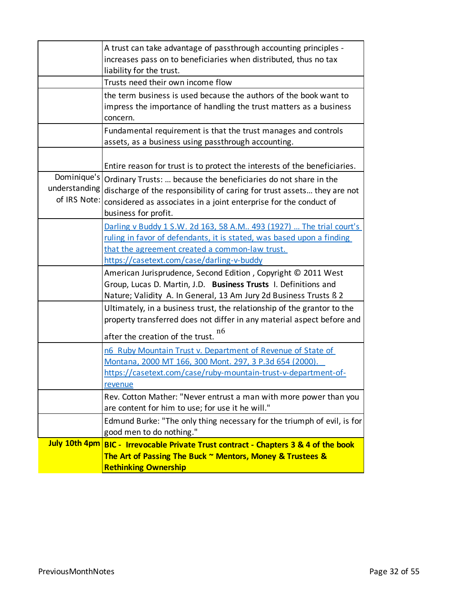|                                              | A trust can take advantage of passthrough accounting principles -<br>increases pass on to beneficiaries when distributed, thus no tax                                                                                                       |
|----------------------------------------------|---------------------------------------------------------------------------------------------------------------------------------------------------------------------------------------------------------------------------------------------|
|                                              | liability for the trust.<br>Trusts need their own income flow                                                                                                                                                                               |
|                                              | the term business is used because the authors of the book want to<br>impress the importance of handling the trust matters as a business<br>concern.                                                                                         |
|                                              | Fundamental requirement is that the trust manages and controls<br>assets, as a business using passthrough accounting.                                                                                                                       |
|                                              | Entire reason for trust is to protect the interests of the beneficiaries.                                                                                                                                                                   |
| Dominique's<br>understanding<br>of IRS Note: | Ordinary Trusts:  because the beneficiaries do not share in the<br>discharge of the responsibility of caring for trust assets they are not<br>considered as associates in a joint enterprise for the conduct of<br>business for profit.     |
|                                              | Darling v Buddy 1 S.W. 2d 163, 58 A.M 493 (1927)  The trial court's<br>ruling in favor of defendants, it is stated, was based upon a finding<br>that the agreement created a common-law trust.<br>https://casetext.com/case/darling-v-buddy |
|                                              | American Jurisprudence, Second Edition, Copyright © 2011 West<br>Group, Lucas D. Martin, J.D. Business Trusts I. Definitions and<br>Nature; Validity A. In General, 13 Am Jury 2d Business Trusts ß 2                                       |
|                                              | Ultimately, in a business trust, the relationship of the grantor to the<br>property transferred does not differ in any material aspect before and<br>n6<br>after the creation of the trust.                                                 |
|                                              | n6 Ruby Mountain Trust v. Department of Revenue of State of<br>Montana, 2000 MT 166, 300 Mont. 297, 3 P.3d 654 (2000).<br>https://casetext.com/case/ruby-mountain-trust-v-department-of-<br>revenue                                         |
|                                              | Rev. Cotton Mather: "Never entrust a man with more power than you<br>are content for him to use; for use it he will."                                                                                                                       |
|                                              | Edmund Burke: "The only thing necessary for the triumph of evil, is for<br>good men to do nothing."                                                                                                                                         |
|                                              | July 10th 4pm BIC - Irrevocable Private Trust contract - Chapters 3 & 4 of the book<br>The Art of Passing The Buck ~ Mentors, Money & Trustees &<br><b>Rethinking Ownership</b>                                                             |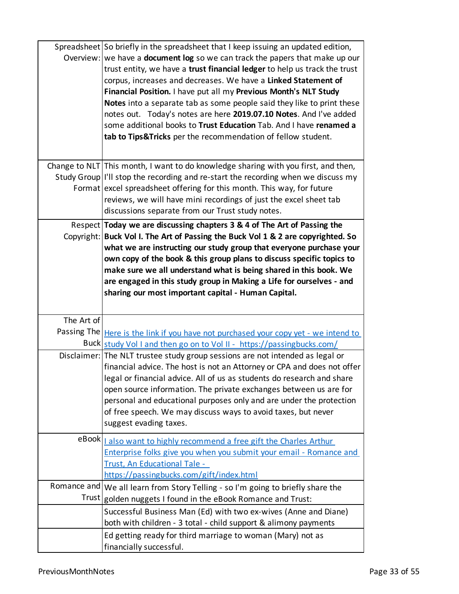|            | Spreadsheet So briefly in the spreadsheet that I keep issuing an updated edition,<br>Overview: we have a <b>document log</b> so we can track the papers that make up our<br>trust entity, we have a trust financial ledger to help us track the trust<br>corpus, increases and decreases. We have a Linked Statement of<br>Financial Position. I have put all my Previous Month's NLT Study<br>Notes into a separate tab as some people said they like to print these<br>notes out. Today's notes are here 2019.07.10 Notes. And I've added<br>some additional books to Trust Education Tab. And I have renamed a<br>tab to Tips&Tricks per the recommendation of fellow student. |
|------------|-----------------------------------------------------------------------------------------------------------------------------------------------------------------------------------------------------------------------------------------------------------------------------------------------------------------------------------------------------------------------------------------------------------------------------------------------------------------------------------------------------------------------------------------------------------------------------------------------------------------------------------------------------------------------------------|
|            | Change to NLT This month, I want to do knowledge sharing with you first, and then,                                                                                                                                                                                                                                                                                                                                                                                                                                                                                                                                                                                                |
|            | Study Group  I'll stop the recording and re-start the recording when we discuss my<br>Format excel spreadsheet offering for this month. This way, for future                                                                                                                                                                                                                                                                                                                                                                                                                                                                                                                      |
|            | reviews, we will have mini recordings of just the excel sheet tab                                                                                                                                                                                                                                                                                                                                                                                                                                                                                                                                                                                                                 |
|            | discussions separate from our Trust study notes.                                                                                                                                                                                                                                                                                                                                                                                                                                                                                                                                                                                                                                  |
|            | Respect Today we are discussing chapters 3 & 4 of The Art of Passing the                                                                                                                                                                                                                                                                                                                                                                                                                                                                                                                                                                                                          |
|            | Copyright: Buck Vol I. The Art of Passing the Buck Vol 1 & 2 are copyrighted. So<br>what we are instructing our study group that everyone purchase your<br>own copy of the book & this group plans to discuss specific topics to<br>make sure we all understand what is being shared in this book. We<br>are engaged in this study group in Making a Life for ourselves - and<br>sharing our most important capital - Human Capital.                                                                                                                                                                                                                                              |
| The Art of |                                                                                                                                                                                                                                                                                                                                                                                                                                                                                                                                                                                                                                                                                   |
|            | Passing The <u>Here is the link if you have not purchased your copy yet - we intend to</u>                                                                                                                                                                                                                                                                                                                                                                                                                                                                                                                                                                                        |
|            | Buck study Vol 1 and then go on to Vol II - https://passingbucks.com/<br>Disclaimer: The NLT trustee study group sessions are not intended as legal or                                                                                                                                                                                                                                                                                                                                                                                                                                                                                                                            |
|            | financial advice. The host is not an Attorney or CPA and does not offer<br>legal or financial advice. All of us as students do research and share<br>open source information. The private exchanges between us are for<br>personal and educational purposes only and are under the protection<br>of free speech. We may discuss ways to avoid taxes, but never<br>suggest evading taxes.                                                                                                                                                                                                                                                                                          |
|            | eBook   also want to highly recommend a free gift the Charles Arthur                                                                                                                                                                                                                                                                                                                                                                                                                                                                                                                                                                                                              |
|            | Enterprise folks give you when you submit your email - Romance and                                                                                                                                                                                                                                                                                                                                                                                                                                                                                                                                                                                                                |
|            | Trust, An Educational Tale -<br>https://passingbucks.com/gift/index.html                                                                                                                                                                                                                                                                                                                                                                                                                                                                                                                                                                                                          |
|            | Romance and   We all learn from Story Telling - so I'm going to briefly share the                                                                                                                                                                                                                                                                                                                                                                                                                                                                                                                                                                                                 |
|            | Trust golden nuggets I found in the eBook Romance and Trust:                                                                                                                                                                                                                                                                                                                                                                                                                                                                                                                                                                                                                      |
|            | Successful Business Man (Ed) with two ex-wives (Anne and Diane)<br>both with children - 3 total - child support & alimony payments                                                                                                                                                                                                                                                                                                                                                                                                                                                                                                                                                |
|            | Ed getting ready for third marriage to woman (Mary) not as<br>financially successful.                                                                                                                                                                                                                                                                                                                                                                                                                                                                                                                                                                                             |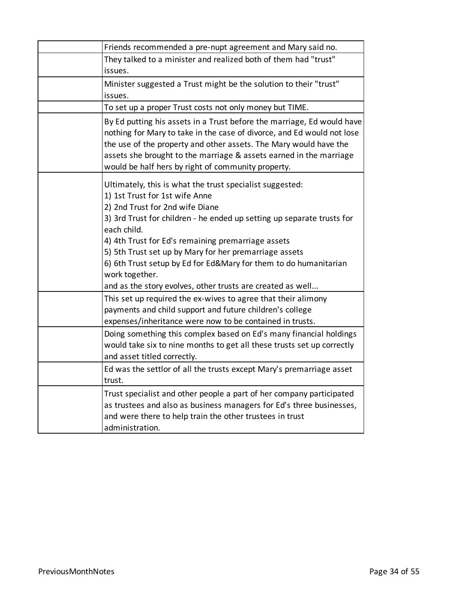| Friends recommended a pre-nupt agreement and Mary said no.                                                                                                                                                                                                                                                                                                                                                                                                                                 |
|--------------------------------------------------------------------------------------------------------------------------------------------------------------------------------------------------------------------------------------------------------------------------------------------------------------------------------------------------------------------------------------------------------------------------------------------------------------------------------------------|
| They talked to a minister and realized both of them had "trust"<br>issues.                                                                                                                                                                                                                                                                                                                                                                                                                 |
| Minister suggested a Trust might be the solution to their "trust"<br>issues.                                                                                                                                                                                                                                                                                                                                                                                                               |
| To set up a proper Trust costs not only money but TIME.                                                                                                                                                                                                                                                                                                                                                                                                                                    |
| By Ed putting his assets in a Trust before the marriage, Ed would have<br>nothing for Mary to take in the case of divorce, and Ed would not lose<br>the use of the property and other assets. The Mary would have the<br>assets she brought to the marriage & assets earned in the marriage<br>would be half hers by right of community property.                                                                                                                                          |
| Ultimately, this is what the trust specialist suggested:<br>1) 1st Trust for 1st wife Anne<br>2) 2nd Trust for 2nd wife Diane<br>3) 3rd Trust for children - he ended up setting up separate trusts for<br>each child.<br>4) 4th Trust for Ed's remaining premarriage assets<br>5) 5th Trust set up by Mary for her premarriage assets<br>6) 6th Trust setup by Ed for Ed&Mary for them to do humanitarian<br>work together.<br>and as the story evolves, other trusts are created as well |
| This set up required the ex-wives to agree that their alimony<br>payments and child support and future children's college<br>expenses/inheritance were now to be contained in trusts.                                                                                                                                                                                                                                                                                                      |
| Doing something this complex based on Ed's many financial holdings<br>would take six to nine months to get all these trusts set up correctly<br>and asset titled correctly.                                                                                                                                                                                                                                                                                                                |
| Ed was the settlor of all the trusts except Mary's premarriage asset<br>trust.                                                                                                                                                                                                                                                                                                                                                                                                             |
| Trust specialist and other people a part of her company participated<br>as trustees and also as business managers for Ed's three businesses,<br>and were there to help train the other trustees in trust<br>administration.                                                                                                                                                                                                                                                                |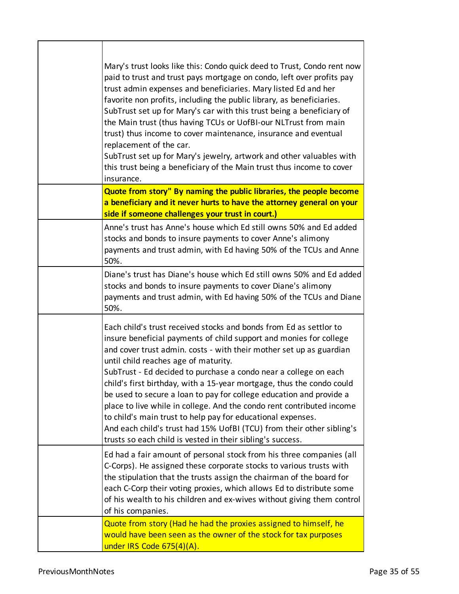| Mary's trust looks like this: Condo quick deed to Trust, Condo rent now<br>paid to trust and trust pays mortgage on condo, left over profits pay<br>trust admin expenses and beneficiaries. Mary listed Ed and her<br>favorite non profits, including the public library, as beneficiaries.<br>SubTrust set up for Mary's car with this trust being a beneficiary of<br>the Main trust (thus having TCUs or UofBI-our NLTrust from main<br>trust) thus income to cover maintenance, insurance and eventual<br>replacement of the car.<br>SubTrust set up for Mary's jewelry, artwork and other valuables with<br>this trust being a beneficiary of the Main trust thus income to cover<br>insurance.                                                       |
|------------------------------------------------------------------------------------------------------------------------------------------------------------------------------------------------------------------------------------------------------------------------------------------------------------------------------------------------------------------------------------------------------------------------------------------------------------------------------------------------------------------------------------------------------------------------------------------------------------------------------------------------------------------------------------------------------------------------------------------------------------|
| Quote from story" By naming the public libraries, the people become<br>a beneficiary and it never hurts to have the attorney general on your<br>side if someone challenges your trust in court.)                                                                                                                                                                                                                                                                                                                                                                                                                                                                                                                                                           |
| Anne's trust has Anne's house which Ed still owns 50% and Ed added<br>stocks and bonds to insure payments to cover Anne's alimony<br>payments and trust admin, with Ed having 50% of the TCUs and Anne<br>50%.                                                                                                                                                                                                                                                                                                                                                                                                                                                                                                                                             |
| Diane's trust has Diane's house which Ed still owns 50% and Ed added<br>stocks and bonds to insure payments to cover Diane's alimony<br>payments and trust admin, with Ed having 50% of the TCUs and Diane<br>50%.                                                                                                                                                                                                                                                                                                                                                                                                                                                                                                                                         |
| Each child's trust received stocks and bonds from Ed as settlor to<br>insure beneficial payments of child support and monies for college<br>and cover trust admin. costs - with their mother set up as guardian<br>until child reaches age of maturity.<br>SubTrust - Ed decided to purchase a condo near a college on each<br>child's first birthday, with a 15-year mortgage, thus the condo could<br>be used to secure a loan to pay for college education and provide a<br>place to live while in college. And the condo rent contributed income<br>to child's main trust to help pay for educational expenses.<br>And each child's trust had 15% UofBI (TCU) from their other sibling's<br>trusts so each child is vested in their sibling's success. |
| Ed had a fair amount of personal stock from his three companies (all<br>C-Corps). He assigned these corporate stocks to various trusts with<br>the stipulation that the trusts assign the chairman of the board for<br>each C-Corp their voting proxies, which allows Ed to distribute some<br>of his wealth to his children and ex-wives without giving them control<br>of his companies.                                                                                                                                                                                                                                                                                                                                                                 |
| Quote from story (Had he had the proxies assigned to himself, he<br>would have been seen as the owner of the stock for tax purposes<br>under IRS Code 675(4)(A).                                                                                                                                                                                                                                                                                                                                                                                                                                                                                                                                                                                           |

Г

Τ

٦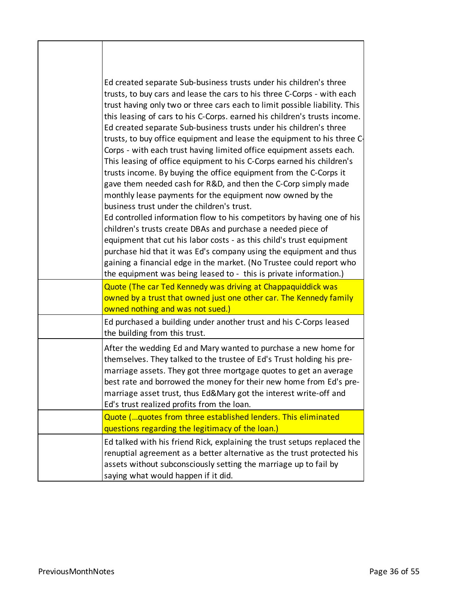| Ed created separate Sub-business trusts under his children's three<br>trusts, to buy cars and lease the cars to his three C-Corps - with each<br>trust having only two or three cars each to limit possible liability. This<br>this leasing of cars to his C-Corps. earned his children's trusts income.<br>Ed created separate Sub-business trusts under his children's three<br>trusts, to buy office equipment and lease the equipment to his three C-<br>Corps - with each trust having limited office equipment assets each.<br>This leasing of office equipment to his C-Corps earned his children's<br>trusts income. By buying the office equipment from the C-Corps it<br>gave them needed cash for R&D, and then the C-Corp simply made<br>monthly lease payments for the equipment now owned by the<br>business trust under the children's trust.<br>Ed controlled information flow to his competitors by having one of his<br>children's trusts create DBAs and purchase a needed piece of<br>equipment that cut his labor costs - as this child's trust equipment<br>purchase hid that it was Ed's company using the equipment and thus<br>gaining a financial edge in the market. (No Trustee could report who<br>the equipment was being leased to - this is private information.) |
|---------------------------------------------------------------------------------------------------------------------------------------------------------------------------------------------------------------------------------------------------------------------------------------------------------------------------------------------------------------------------------------------------------------------------------------------------------------------------------------------------------------------------------------------------------------------------------------------------------------------------------------------------------------------------------------------------------------------------------------------------------------------------------------------------------------------------------------------------------------------------------------------------------------------------------------------------------------------------------------------------------------------------------------------------------------------------------------------------------------------------------------------------------------------------------------------------------------------------------------------------------------------------------------------------|
| Quote (The car Ted Kennedy was driving at Chappaquiddick was                                                                                                                                                                                                                                                                                                                                                                                                                                                                                                                                                                                                                                                                                                                                                                                                                                                                                                                                                                                                                                                                                                                                                                                                                                      |
| owned by a trust that owned just one other car. The Kennedy family<br>owned nothing and was not sued.)                                                                                                                                                                                                                                                                                                                                                                                                                                                                                                                                                                                                                                                                                                                                                                                                                                                                                                                                                                                                                                                                                                                                                                                            |
| Ed purchased a building under another trust and his C-Corps leased<br>the building from this trust.                                                                                                                                                                                                                                                                                                                                                                                                                                                                                                                                                                                                                                                                                                                                                                                                                                                                                                                                                                                                                                                                                                                                                                                               |
| After the wedding Ed and Mary wanted to purchase a new home for<br>themselves. They talked to the trustee of Ed's Trust holding his pre-<br>marriage assets. They got three mortgage quotes to get an average<br>best rate and borrowed the money for their new home from Ed's pre-<br>marriage asset trust, thus Ed&Mary got the interest write-off and<br>Ed's trust realized profits from the loan.                                                                                                                                                                                                                                                                                                                                                                                                                                                                                                                                                                                                                                                                                                                                                                                                                                                                                            |
| Quote (quotes from three established lenders. This eliminated<br>questions regarding the legitimacy of the loan.)                                                                                                                                                                                                                                                                                                                                                                                                                                                                                                                                                                                                                                                                                                                                                                                                                                                                                                                                                                                                                                                                                                                                                                                 |
| Ed talked with his friend Rick, explaining the trust setups replaced the<br>renuptial agreement as a better alternative as the trust protected his<br>assets without subconsciously setting the marriage up to fail by<br>saying what would happen if it did.                                                                                                                                                                                                                                                                                                                                                                                                                                                                                                                                                                                                                                                                                                                                                                                                                                                                                                                                                                                                                                     |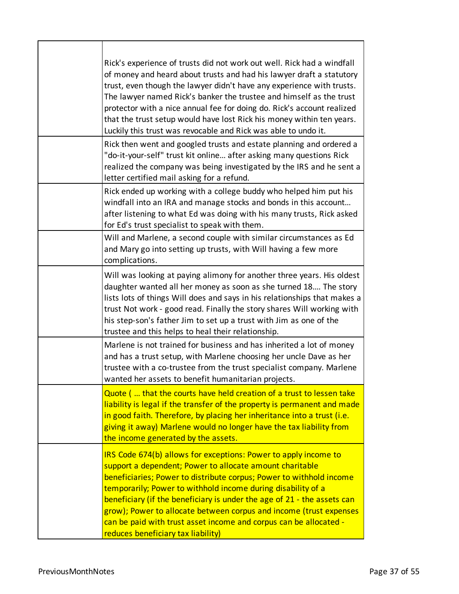| Rick's experience of trusts did not work out well. Rick had a windfall<br>of money and heard about trusts and had his lawyer draft a statutory<br>trust, even though the lawyer didn't have any experience with trusts.<br>The lawyer named Rick's banker the trustee and himself as the trust<br>protector with a nice annual fee for doing do. Rick's account realized<br>that the trust setup would have lost Rick his money within ten years.<br>Luckily this trust was revocable and Rick was able to undo it.            |
|--------------------------------------------------------------------------------------------------------------------------------------------------------------------------------------------------------------------------------------------------------------------------------------------------------------------------------------------------------------------------------------------------------------------------------------------------------------------------------------------------------------------------------|
| Rick then went and googled trusts and estate planning and ordered a<br>"do-it-your-self" trust kit online after asking many questions Rick<br>realized the company was being investigated by the IRS and he sent a<br>letter certified mail asking for a refund.                                                                                                                                                                                                                                                               |
| Rick ended up working with a college buddy who helped him put his<br>windfall into an IRA and manage stocks and bonds in this account<br>after listening to what Ed was doing with his many trusts, Rick asked<br>for Ed's trust specialist to speak with them.                                                                                                                                                                                                                                                                |
| Will and Marlene, a second couple with similar circumstances as Ed<br>and Mary go into setting up trusts, with Will having a few more<br>complications.                                                                                                                                                                                                                                                                                                                                                                        |
| Will was looking at paying alimony for another three years. His oldest<br>daughter wanted all her money as soon as she turned 18 The story<br>lists lots of things Will does and says in his relationships that makes a<br>trust Not work - good read. Finally the story shares Will working with<br>his step-son's father Jim to set up a trust with Jim as one of the<br>trustee and this helps to heal their relationship.                                                                                                  |
| Marlene is not trained for business and has inherited a lot of money<br>and has a trust setup, with Marlene choosing her uncle Dave as her<br>trustee with a co-trustee from the trust specialist company. Marlene<br>wanted her assets to benefit humanitarian projects.                                                                                                                                                                                                                                                      |
| Quote ( that the courts have held creation of a trust to lessen take<br>liability is legal if the transfer of the property is permanent and made<br>in good faith. Therefore, by placing her inheritance into a trust (i.e.<br>giving it away) Marlene would no longer have the tax liability from<br>the income generated by the assets.                                                                                                                                                                                      |
| IRS Code 674(b) allows for exceptions: Power to apply income to<br>support a dependent; Power to allocate amount charitable<br>beneficiaries; Power to distribute corpus; Power to withhold income<br>temporarily; Power to withhold income during disability of a<br>beneficiary (if the beneficiary is under the age of 21 - the assets can<br>grow); Power to allocate between corpus and income (trust expenses<br>can be paid with trust asset income and corpus can be allocated -<br>reduces beneficiary tax liability) |

 $\mathbf{r}$ 

T

 $\overline{\phantom{0}}$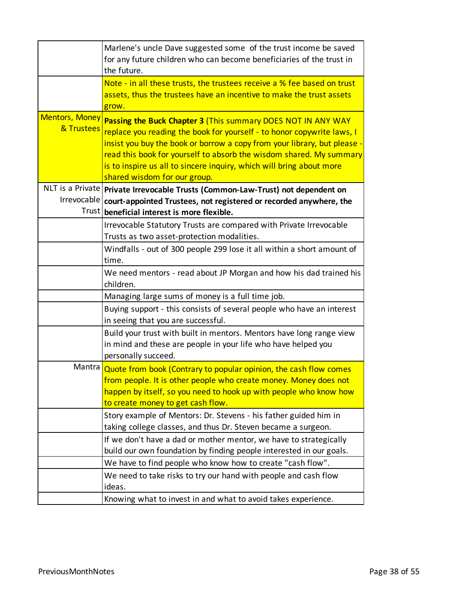|                                     | Marlene's uncle Dave suggested some of the trust income be saved<br>for any future children who can become beneficiaries of the trust in<br>the future.                                                                                                                                                                                                                                           |
|-------------------------------------|---------------------------------------------------------------------------------------------------------------------------------------------------------------------------------------------------------------------------------------------------------------------------------------------------------------------------------------------------------------------------------------------------|
|                                     | Note - in all these trusts, the trustees receive a % fee based on trust<br>assets, thus the trustees have an incentive to make the trust assets<br>grow.                                                                                                                                                                                                                                          |
| <b>Mentors, Money</b><br>& Trustees | Passing the Buck Chapter 3 (This summary DOES NOT IN ANY WAY<br>replace you reading the book for yourself - to honor copywrite laws, I<br>insist you buy the book or borrow a copy from your library, but please -<br>read this book for yourself to absorb the wisdom shared. My summary<br>is to inspire us all to sincere inquiry, which will bring about more<br>shared wisdom for our group. |
|                                     | NLT is a Private   Private Irrevocable Trusts (Common-Law-Trust) not dependent on<br>Irrevocable court-appointed Trustees, not registered or recorded anywhere, the<br>Trust beneficial interest is more flexible.                                                                                                                                                                                |
|                                     | Irrevocable Statutory Trusts are compared with Private Irrevocable<br>Trusts as two asset-protection modalities.                                                                                                                                                                                                                                                                                  |
|                                     | Windfalls - out of 300 people 299 lose it all within a short amount of<br>time.                                                                                                                                                                                                                                                                                                                   |
|                                     | We need mentors - read about JP Morgan and how his dad trained his<br>children.                                                                                                                                                                                                                                                                                                                   |
|                                     | Managing large sums of money is a full time job.                                                                                                                                                                                                                                                                                                                                                  |
|                                     | Buying support - this consists of several people who have an interest<br>in seeing that you are successful.                                                                                                                                                                                                                                                                                       |
|                                     | Build your trust with built in mentors. Mentors have long range view<br>in mind and these are people in your life who have helped you<br>personally succeed.                                                                                                                                                                                                                                      |
|                                     | Mantra Quote from book (Contrary to popular opinion, the cash flow comes<br>from people. It is other people who create money. Money does not<br>happen by itself, so you need to hook up with people who know how<br>to create money to get cash flow.                                                                                                                                            |
|                                     | Story example of Mentors: Dr. Stevens - his father guided him in<br>taking college classes, and thus Dr. Steven became a surgeon.                                                                                                                                                                                                                                                                 |
|                                     | If we don't have a dad or mother mentor, we have to strategically<br>build our own foundation by finding people interested in our goals.                                                                                                                                                                                                                                                          |
|                                     | We have to find people who know how to create "cash flow".                                                                                                                                                                                                                                                                                                                                        |
|                                     | We need to take risks to try our hand with people and cash flow<br>ideas.                                                                                                                                                                                                                                                                                                                         |
|                                     | Knowing what to invest in and what to avoid takes experience.                                                                                                                                                                                                                                                                                                                                     |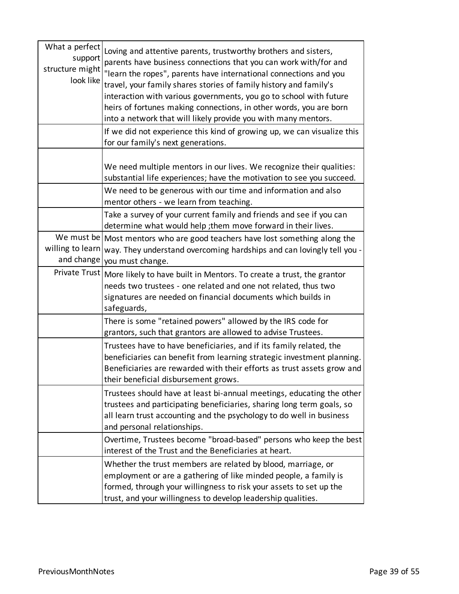| What a perfect<br>support<br>structure might<br>look like | Loving and attentive parents, trustworthy brothers and sisters,<br>parents have business connections that you can work with/for and<br>"learn the ropes", parents have international connections and you<br>travel, your family shares stories of family history and family's<br>interaction with various governments, you go to school with future<br>heirs of fortunes making connections, in other words, you are born<br>into a network that will likely provide you with many mentors. |
|-----------------------------------------------------------|---------------------------------------------------------------------------------------------------------------------------------------------------------------------------------------------------------------------------------------------------------------------------------------------------------------------------------------------------------------------------------------------------------------------------------------------------------------------------------------------|
|                                                           | If we did not experience this kind of growing up, we can visualize this<br>for our family's next generations.                                                                                                                                                                                                                                                                                                                                                                               |
|                                                           | We need multiple mentors in our lives. We recognize their qualities:<br>substantial life experiences; have the motivation to see you succeed.<br>We need to be generous with our time and information and also                                                                                                                                                                                                                                                                              |
|                                                           | mentor others - we learn from teaching.                                                                                                                                                                                                                                                                                                                                                                                                                                                     |
|                                                           | Take a survey of your current family and friends and see if you can<br>determine what would help; them move forward in their lives.                                                                                                                                                                                                                                                                                                                                                         |
| willing to learn<br>and change                            | We must be   Most mentors who are good teachers have lost something along the<br>way. They understand overcoming hardships and can lovingly tell you -<br>you must change.                                                                                                                                                                                                                                                                                                                  |
| Private Trust                                             | More likely to have built in Mentors. To create a trust, the grantor<br>needs two trustees - one related and one not related, thus two<br>signatures are needed on financial documents which builds in<br>safeguards,                                                                                                                                                                                                                                                                       |
|                                                           | There is some "retained powers" allowed by the IRS code for<br>grantors, such that grantors are allowed to advise Trustees.                                                                                                                                                                                                                                                                                                                                                                 |
|                                                           | Trustees have to have beneficiaries, and if its family related, the<br>beneficiaries can benefit from learning strategic investment planning.<br>Beneficiaries are rewarded with their efforts as trust assets grow and<br>their beneficial disbursement grows.                                                                                                                                                                                                                             |
|                                                           | Trustees should have at least bi-annual meetings, educating the other<br>trustees and participating beneficiaries, sharing long term goals, so<br>all learn trust accounting and the psychology to do well in business<br>and personal relationships.                                                                                                                                                                                                                                       |
|                                                           | Overtime, Trustees become "broad-based" persons who keep the best<br>interest of the Trust and the Beneficiaries at heart.                                                                                                                                                                                                                                                                                                                                                                  |
|                                                           | Whether the trust members are related by blood, marriage, or<br>employment or are a gathering of like minded people, a family is<br>formed, through your willingness to risk your assets to set up the<br>trust, and your willingness to develop leadership qualities.                                                                                                                                                                                                                      |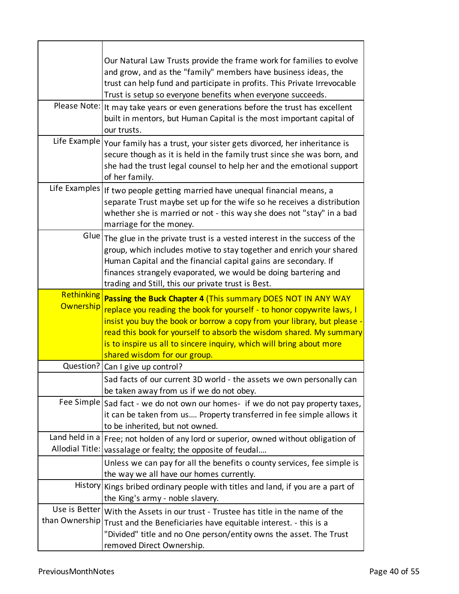|                                | Our Natural Law Trusts provide the frame work for families to evolve<br>and grow, and as the "family" members have business ideas, the<br>trust can help fund and participate in profits. This Private Irrevocable<br>Trust is setup so everyone benefits when everyone succeeds.<br>Please Note:   It may take years or even generations before the trust has excellent<br>built in mentors, but Human Capital is the most important capital of<br>our trusts.<br>Life Example Your family has a trust, your sister gets divorced, her inheritance is<br>secure though as it is held in the family trust since she was born, and |
|--------------------------------|-----------------------------------------------------------------------------------------------------------------------------------------------------------------------------------------------------------------------------------------------------------------------------------------------------------------------------------------------------------------------------------------------------------------------------------------------------------------------------------------------------------------------------------------------------------------------------------------------------------------------------------|
| Life Examples                  | she had the trust legal counsel to help her and the emotional support<br>of her family.                                                                                                                                                                                                                                                                                                                                                                                                                                                                                                                                           |
|                                | If two people getting married have unequal financial means, a<br>separate Trust maybe set up for the wife so he receives a distribution<br>whether she is married or not - this way she does not "stay" in a bad<br>marriage for the money.                                                                                                                                                                                                                                                                                                                                                                                       |
|                                | $G$ lue The glue in the private trust is a vested interest in the success of the<br>group, which includes motive to stay together and enrich your shared<br>Human Capital and the financial capital gains are secondary. If<br>finances strangely evaporated, we would be doing bartering and<br>trading and Still, this our private trust is Best.                                                                                                                                                                                                                                                                               |
| <b>Rethinking</b><br>Ownership | Passing the Buck Chapter 4 (This summary DOES NOT IN ANY WAY<br>replace you reading the book for yourself - to honor copywrite laws, I<br>insist you buy the book or borrow a copy from your library, but please -<br>read this book for yourself to absorb the wisdom shared. My summary<br>is to inspire us all to sincere inquiry, which will bring about more<br>shared wisdom for our group.                                                                                                                                                                                                                                 |
| Question?                      | Can I give up control?                                                                                                                                                                                                                                                                                                                                                                                                                                                                                                                                                                                                            |
|                                | Sad facts of our current 3D world - the assets we own personally can<br>be taken away from us if we do not obey.                                                                                                                                                                                                                                                                                                                                                                                                                                                                                                                  |
|                                | Fee Simple Sad fact - we do not own our homes- if we do not pay property taxes,<br>it can be taken from us Property transferred in fee simple allows it<br>to be inherited, but not owned.                                                                                                                                                                                                                                                                                                                                                                                                                                        |
|                                | Land held in a   Free; not holden of any lord or superior, owned without obligation of                                                                                                                                                                                                                                                                                                                                                                                                                                                                                                                                            |
|                                | Allodial Title: vassalage or fealty; the opposite of feudal                                                                                                                                                                                                                                                                                                                                                                                                                                                                                                                                                                       |
|                                | Unless we can pay for all the benefits o county services, fee simple is                                                                                                                                                                                                                                                                                                                                                                                                                                                                                                                                                           |
|                                | the way we all have our homes currently.                                                                                                                                                                                                                                                                                                                                                                                                                                                                                                                                                                                          |
|                                | History Kings bribed ordinary people with titles and land, if you are a part of<br>the King's army - noble slavery.                                                                                                                                                                                                                                                                                                                                                                                                                                                                                                               |
|                                | Use is Better   With the Assets in our trust - Trustee has title in the name of the                                                                                                                                                                                                                                                                                                                                                                                                                                                                                                                                               |
| than Ownership                 | Trust and the Beneficiaries have equitable interest. - this is a<br>"Divided" title and no One person/entity owns the asset. The Trust<br>removed Direct Ownership.                                                                                                                                                                                                                                                                                                                                                                                                                                                               |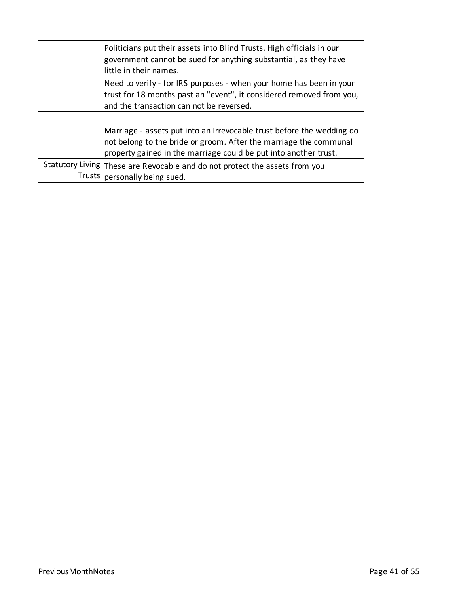| Politicians put their assets into Blind Trusts. High officials in our<br>government cannot be sued for anything substantial, as they have<br>little in their names.                     |
|-----------------------------------------------------------------------------------------------------------------------------------------------------------------------------------------|
| Need to verify - for IRS purposes - when your home has been in your<br>trust for 18 months past an "event", it considered removed from you,<br>and the transaction can not be reversed. |
| Marriage - assets put into an Irrevocable trust before the wedding do<br>not belong to the bride or groom. After the marriage the communal                                              |
| property gained in the marriage could be put into another trust.                                                                                                                        |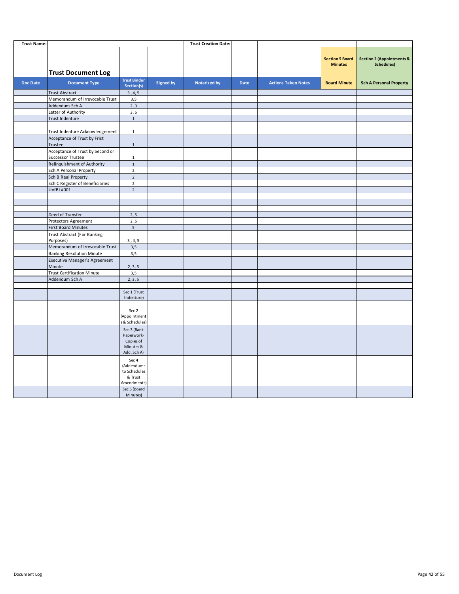| <b>Trust Name:</b> |                                                       |                                                                    |                  | <b>Trust Creation Date:</b> |      |                            |                                          |                                                           |
|--------------------|-------------------------------------------------------|--------------------------------------------------------------------|------------------|-----------------------------|------|----------------------------|------------------------------------------|-----------------------------------------------------------|
|                    | <b>Trust Document Log</b>                             |                                                                    |                  |                             |      |                            | <b>Section 5 Board</b><br><b>Minutes</b> | <b>Section 2 (Appointments &amp;</b><br><b>Schedules)</b> |
| <b>Doc Date</b>    | <b>Document Type</b>                                  | <b>Trust Binder</b><br>Section(s)                                  | <b>Signed by</b> | <b>Notarized by</b>         | Date | <b>Actions Taken Notes</b> | <b>Board Minute</b>                      | <b>Sch A Personal Property</b>                            |
|                    | <b>Trust Abstract</b>                                 | 3, 4, 5                                                            |                  |                             |      |                            |                                          |                                                           |
|                    | Memorandum of Irrevocable Trust                       | 3,5                                                                |                  |                             |      |                            |                                          |                                                           |
|                    | Addendum Sch A                                        | 2,3                                                                |                  |                             |      |                            |                                          |                                                           |
|                    | Letter of Authority                                   | 3, 5                                                               |                  |                             |      |                            |                                          |                                                           |
|                    | Trust Indenture                                       | $\mathbf{1}$                                                       |                  |                             |      |                            |                                          |                                                           |
|                    | Trust Indenture Acknowledgement                       | $\mathbf{1}$                                                       |                  |                             |      |                            |                                          |                                                           |
|                    | Acceptance of Trust by Frist<br>Trustee               | $\mathbf 1$                                                        |                  |                             |      |                            |                                          |                                                           |
|                    | Acceptance of Trust by Second or<br>Successor Trustee | $\mathbf 1$                                                        |                  |                             |      |                            |                                          |                                                           |
|                    | Relinquishment of Authority                           | $\mathbf 1$                                                        |                  |                             |      |                            |                                          |                                                           |
|                    | Sch A Personal Property                               | $\overline{2}$                                                     |                  |                             |      |                            |                                          |                                                           |
|                    | Sch B Real Property                                   | $\overline{2}$                                                     |                  |                             |      |                            |                                          |                                                           |
|                    | Sch C Register of Beneficiaries                       | $\overline{2}$                                                     |                  |                             |      |                            |                                          |                                                           |
|                    | UofBI #001                                            | $\overline{2}$                                                     |                  |                             |      |                            |                                          |                                                           |
|                    |                                                       |                                                                    |                  |                             |      |                            |                                          |                                                           |
|                    |                                                       |                                                                    |                  |                             |      |                            |                                          |                                                           |
|                    | Deed of Transfer                                      | 2, 5                                                               |                  |                             |      |                            |                                          |                                                           |
|                    | Protectors Agreement                                  | 2,5                                                                |                  |                             |      |                            |                                          |                                                           |
|                    | <b>First Board Minutes</b>                            | $5\phantom{.0}$                                                    |                  |                             |      |                            |                                          |                                                           |
|                    | <b>Trust Abstract (For Banking</b>                    |                                                                    |                  |                             |      |                            |                                          |                                                           |
|                    | Purposes)                                             | 3, 4, 5                                                            |                  |                             |      |                            |                                          |                                                           |
|                    | Memorandum of Irrevocable Trust                       | 3,5                                                                |                  |                             |      |                            |                                          |                                                           |
|                    | <b>Banking Resolution Minute</b>                      | 3,5                                                                |                  |                             |      |                            |                                          |                                                           |
|                    | Executive Manager's Agreement<br>Minute               | 2, 3, 5                                                            |                  |                             |      |                            |                                          |                                                           |
|                    | <b>Trust Certification Minute</b>                     | 3,5                                                                |                  |                             |      |                            |                                          |                                                           |
|                    | Addendum Sch A                                        | 2, 3, 5                                                            |                  |                             |      |                            |                                          |                                                           |
|                    |                                                       |                                                                    |                  |                             |      |                            |                                          |                                                           |
|                    |                                                       | Sec 1 (Trust<br>Indenture)                                         |                  |                             |      |                            |                                          |                                                           |
|                    |                                                       | Sec 2<br>(Appointment<br>& Schedules)                              |                  |                             |      |                            |                                          |                                                           |
|                    |                                                       | Sec 3 (Bank<br>Paperwork-<br>Copies of<br>Minutes &<br>Add. Sch A) |                  |                             |      |                            |                                          |                                                           |
|                    |                                                       | Sec 4<br>(Addendums<br>to Schedules<br>& Trust<br>Amendments)      |                  |                             |      |                            |                                          |                                                           |
|                    |                                                       | Sec 5 (Board<br>Minutes)                                           |                  |                             |      |                            |                                          |                                                           |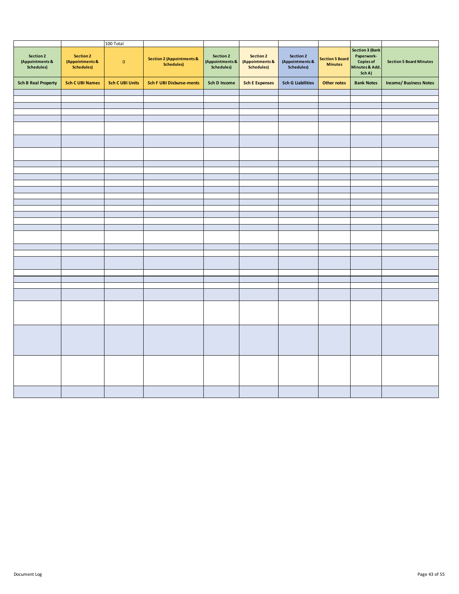|                                                   |                                                          | 100 Total              |                                                           |                                            |                                            |                                            |                                          |                                                                                      |                                |
|---------------------------------------------------|----------------------------------------------------------|------------------------|-----------------------------------------------------------|--------------------------------------------|--------------------------------------------|--------------------------------------------|------------------------------------------|--------------------------------------------------------------------------------------|--------------------------------|
| Section 2<br>(Appointments &<br><b>Schedules)</b> | <b>Section 2</b><br>(Appointments &<br><b>Schedules)</b> | $\mathbf 0$            | <b>Section 2 (Appointments &amp;</b><br><b>Schedules)</b> | Section 2<br>(Appointments &<br>Schedules) | Section 2<br>(Appointments &<br>Schedules) | Section 2<br>(Appointments &<br>Schedules) | <b>Section 5 Board</b><br><b>Minutes</b> | <b>Section 3 (Bank</b><br>Paperwork-<br><b>Copies of</b><br>Minutes & Add.<br>Sch A) | <b>Section 5 Board Minutes</b> |
| <b>Sch B Real Property</b>                        | <b>Sch C UBI Names</b>                                   | <b>Sch C UBI Units</b> | <b>Sch F UBI Disburse-ments</b>                           | Sch D Income                               | <b>Sch E Expenses</b>                      | <b>Sch G Liabilities</b>                   | <b>Other notes</b>                       | <b>Bank Notes</b>                                                                    | <b>Income/ Business Notes</b>  |
|                                                   |                                                          |                        |                                                           |                                            |                                            |                                            |                                          |                                                                                      |                                |
|                                                   |                                                          |                        |                                                           |                                            |                                            |                                            |                                          |                                                                                      |                                |
|                                                   |                                                          |                        |                                                           |                                            |                                            |                                            |                                          |                                                                                      |                                |
|                                                   |                                                          |                        |                                                           |                                            |                                            |                                            |                                          |                                                                                      |                                |
|                                                   |                                                          |                        |                                                           |                                            |                                            |                                            |                                          |                                                                                      |                                |
|                                                   |                                                          |                        |                                                           |                                            |                                            |                                            |                                          |                                                                                      |                                |
|                                                   |                                                          |                        |                                                           |                                            |                                            |                                            |                                          |                                                                                      |                                |
|                                                   |                                                          |                        |                                                           |                                            |                                            |                                            |                                          |                                                                                      |                                |
|                                                   |                                                          |                        |                                                           |                                            |                                            |                                            |                                          |                                                                                      |                                |
|                                                   |                                                          |                        |                                                           |                                            |                                            |                                            |                                          |                                                                                      |                                |
|                                                   |                                                          |                        |                                                           |                                            |                                            |                                            |                                          |                                                                                      |                                |
|                                                   |                                                          |                        |                                                           |                                            |                                            |                                            |                                          |                                                                                      |                                |
|                                                   |                                                          |                        |                                                           |                                            |                                            |                                            |                                          |                                                                                      |                                |
|                                                   |                                                          |                        |                                                           |                                            |                                            |                                            |                                          |                                                                                      |                                |
|                                                   |                                                          |                        |                                                           |                                            |                                            |                                            |                                          |                                                                                      |                                |
|                                                   |                                                          |                        |                                                           |                                            |                                            |                                            |                                          |                                                                                      |                                |
|                                                   |                                                          |                        |                                                           |                                            |                                            |                                            |                                          |                                                                                      |                                |
|                                                   |                                                          |                        |                                                           |                                            |                                            |                                            |                                          |                                                                                      |                                |
|                                                   |                                                          |                        |                                                           |                                            |                                            |                                            |                                          |                                                                                      |                                |
|                                                   |                                                          |                        |                                                           |                                            |                                            |                                            |                                          |                                                                                      |                                |
|                                                   |                                                          |                        |                                                           |                                            |                                            |                                            |                                          |                                                                                      |                                |
|                                                   |                                                          |                        |                                                           |                                            |                                            |                                            |                                          |                                                                                      |                                |
|                                                   |                                                          |                        |                                                           |                                            |                                            |                                            |                                          |                                                                                      |                                |
|                                                   |                                                          |                        |                                                           |                                            |                                            |                                            |                                          |                                                                                      |                                |
|                                                   |                                                          |                        |                                                           |                                            |                                            |                                            |                                          |                                                                                      |                                |
|                                                   |                                                          |                        |                                                           |                                            |                                            |                                            |                                          |                                                                                      |                                |
|                                                   |                                                          |                        |                                                           |                                            |                                            |                                            |                                          |                                                                                      |                                |
|                                                   |                                                          |                        |                                                           |                                            |                                            |                                            |                                          |                                                                                      |                                |
|                                                   |                                                          |                        |                                                           |                                            |                                            |                                            |                                          |                                                                                      |                                |
|                                                   |                                                          |                        |                                                           |                                            |                                            |                                            |                                          |                                                                                      |                                |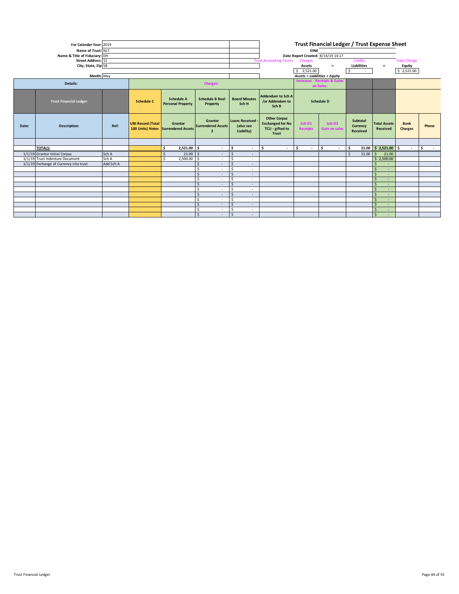| For Calendar Year: 2019<br>Name of Trust: NLT<br>Name & Title of Fiduciary: DH<br>Street Address: 11<br>City, State, Zip SB |                                        |           |                          |                                                |                                                        |                                                    | <b>Trust Accounting Terms</b>                                              | EIN#<br>Charges<br>Assets<br>$5$ 2,521.00 | Trust Financial Ledger / Trust Expense Sheet<br>Date Report Created: 8/14/19 14:17<br>$=$ | Credits<br><b>Liabilities</b><br>-S.<br>$\sim 100$ | $+$                             | <b>Total Charge</b><br>Equity<br>\$2,521.00 |            |  |  |  |  |
|-----------------------------------------------------------------------------------------------------------------------------|----------------------------------------|-----------|--------------------------|------------------------------------------------|--------------------------------------------------------|----------------------------------------------------|----------------------------------------------------------------------------|-------------------------------------------|-------------------------------------------------------------------------------------------|----------------------------------------------------|---------------------------------|---------------------------------------------|------------|--|--|--|--|
|                                                                                                                             | Month: May                             |           |                          |                                                |                                                        |                                                    |                                                                            | <b>Assets = Liabilities + Equity</b>      |                                                                                           |                                                    |                                 |                                             |            |  |  |  |  |
|                                                                                                                             | Details:                               |           |                          |                                                | <b>Charges:</b>                                        |                                                    |                                                                            |                                           | <b>Increases - Receipts &amp; Gains</b><br>on Sales:                                      |                                                    |                                 |                                             |            |  |  |  |  |
|                                                                                                                             | <b>Trust Financial Ledger</b>          |           | <b>Schedule C</b>        | <b>Schedule A</b><br><b>Personal Property</b>  | <b>Schedule B Real</b><br>Property                     | <b>Board Minutes</b><br>Sch H                      | Addendum to Sch A<br>/or Addendum to<br>Sch B                              | <b>Schedule D</b>                         |                                                                                           |                                                    |                                 |                                             |            |  |  |  |  |
| Date:                                                                                                                       | <b>Description:</b>                    | Ref:      | <b>UBI Record (Total</b> | Grantor<br>100 Units) Notes Surrendered Assets | Grantor<br><b>Surrendered Assets</b><br>$\overline{ }$ | <b>Loans Received -</b><br>(also see<br>Liability) | <b>Other Corpus</b><br><b>Exchanged for No</b><br>TCU - gifted to<br>Trust | Sch D1<br><b>Receipts</b>                 | Sch D <sub>2</sub><br><b>Gain on sales</b>                                                | Subtotal<br>Currency<br>Received                   | <b>Total Assets</b><br>Received | <b>Bank</b><br><b>Charges</b>               | Phone      |  |  |  |  |
|                                                                                                                             |                                        |           |                          |                                                |                                                        |                                                    |                                                                            |                                           |                                                                                           |                                                    |                                 |                                             |            |  |  |  |  |
|                                                                                                                             | <b>TOTALS:</b>                         |           |                          | $2,521.00$ \$<br>Ŝ.                            | $\sim$                                                 | ۱s<br>$\overline{\phantom{a}}$                     | ١s<br>$\sim$                                                               | \$<br>$\sim$                              | l \$<br>$\overline{\phantom{a}}$                                                          | ١s                                                 | $21.00$ \$ 2,521.00 \$          | $\sim$                                      | $\vert$ \$ |  |  |  |  |
|                                                                                                                             | 1/1/19 Grantor Initial Corpus          | Sch A     |                          | $21.00$ \$<br>$\zeta$                          | $\sim$                                                 | S.<br>$\overline{\phantom{a}}$                     |                                                                            |                                           |                                                                                           | $21.00$ \$<br>$\hat{\zeta}$                        | 21.00                           |                                             |            |  |  |  |  |
|                                                                                                                             | 1/1/19 Trust Indenture Document        | Sch A     |                          | $2,500.00$ \$<br>¢                             | $\sim$                                                 | -Ś<br>$\sim$                                       |                                                                            |                                           |                                                                                           |                                                    | \$2,500.00                      |                                             |            |  |  |  |  |
|                                                                                                                             | 1/1/19 Exchange of Currency into trust | Add Sch A |                          |                                                | <b>S</b><br>$\sim$                                     | Ŝ.<br>$\sim$                                       |                                                                            |                                           |                                                                                           |                                                    | S.<br>$\sim$                    |                                             |            |  |  |  |  |
|                                                                                                                             |                                        |           |                          |                                                | $\sim$                                                 | <sub>S</sub><br>$\overline{\phantom{a}}$           |                                                                            |                                           |                                                                                           |                                                    | $\mathsf{S}$<br>$\sim$          |                                             |            |  |  |  |  |
|                                                                                                                             |                                        |           |                          |                                                | <sup>5</sup><br>$\sim$                                 | $\mathsf{S}$<br>$\overline{\phantom{a}}$           |                                                                            |                                           |                                                                                           |                                                    | Ŝ<br>$\sim$                     |                                             |            |  |  |  |  |
|                                                                                                                             |                                        |           |                          |                                                | .S<br>$\sim$                                           | <b>S</b><br>$\overline{\phantom{a}}$               |                                                                            |                                           |                                                                                           |                                                    | $\mathsf{S}$<br>$\sim$          |                                             |            |  |  |  |  |
|                                                                                                                             |                                        |           |                          |                                                | $\sim$                                                 | $\zeta$<br>$\sim$                                  |                                                                            |                                           |                                                                                           |                                                    | S.<br>$\sim$                    |                                             |            |  |  |  |  |
|                                                                                                                             |                                        |           |                          |                                                | -S<br>$\sim$<br>$\sim$                                 | <b>S</b><br>$\sim$<br>$\sim$                       |                                                                            |                                           |                                                                                           |                                                    | S.<br>$\sim$<br>-Ś<br>$\sim$    |                                             |            |  |  |  |  |
|                                                                                                                             |                                        |           |                          |                                                | ÷<br>$\sim$                                            | .s<br>$\overline{\phantom{a}}$                     |                                                                            |                                           |                                                                                           |                                                    | $\mathsf{S}$                    |                                             |            |  |  |  |  |
|                                                                                                                             |                                        |           |                          |                                                | $\sim$                                                 | $\mathsf{S}$<br>$\sim$                             |                                                                            |                                           |                                                                                           |                                                    | $\mathsf{S}$<br>$\sim$          |                                             |            |  |  |  |  |
|                                                                                                                             |                                        |           |                          |                                                | .S<br>$\sim$                                           | .s<br>$\overline{\phantom{a}}$                     |                                                                            |                                           |                                                                                           |                                                    | Ŝ<br>$\sim$                     |                                             |            |  |  |  |  |
|                                                                                                                             |                                        |           |                          |                                                |                                                        |                                                    |                                                                            |                                           |                                                                                           |                                                    |                                 |                                             |            |  |  |  |  |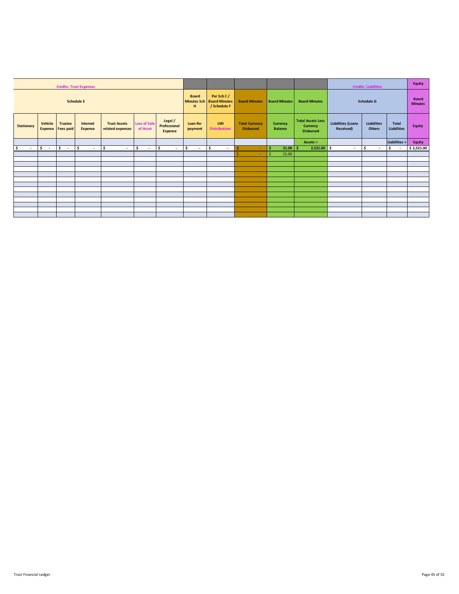| <b>Credits: Trust Expenses</b> |                           |                                    |                            |                                         |                                         |                                                    |                      |                             |                                           |                            |                                                                 | <b>Credits: Liabilities</b>            |                                | <b>Equity</b>               |               |
|--------------------------------|---------------------------|------------------------------------|----------------------------|-----------------------------------------|-----------------------------------------|----------------------------------------------------|----------------------|-----------------------------|-------------------------------------------|----------------------------|-----------------------------------------------------------------|----------------------------------------|--------------------------------|-----------------------------|---------------|
| <b>Schedule E</b>              |                           |                                    |                            |                                         | <b>Board</b><br><b>Minutes Sch</b><br>н | Per Sch C/<br><b>Board Minutes</b><br>/ Schedule F | <b>Board Minutes</b> | <b>Board Minutes</b>        | <b>Board Minutes</b>                      |                            | <b>Schedule G</b>                                               |                                        | <b>Board</b><br><b>Minutes</b> |                             |               |
| <b>Stationary</b>              | Vehicle<br><b>Expense</b> | <b>Trustee</b><br><b>Fees paid</b> | Internet<br><b>Expense</b> | <b>Trust Assets</b><br>related expenses | <b>Loss of Sale</b><br>of Asset         | Legal /<br>Professional<br><b>Expense</b>          | Loan Re-<br>payment  | UBI<br><b>Distributions</b> | <b>Total Currency</b><br><b>Disbursed</b> | Currency<br><b>Balance</b> | <b>Total Assets Less</b><br><b>Currency</b><br><b>Disbursed</b> | <b>Liabilities (Loans</b><br>Received) | <b>Liabilities</b><br>Others   | Total<br><b>Liabilities</b> | <b>Equity</b> |
|                                |                           |                                    |                            |                                         |                                         |                                                    |                      |                             |                                           |                            | Assets $=$                                                      |                                        |                                | Liabilities +               | <b>Equity</b> |
| \$<br>$\sim$                   | $\sqrt{2}$                | $ s -  s $                         | $\sim$                     | l s<br>$\sim$                           | l \$<br>$\sim$                          | \$<br>$\sim$                                       | \$<br>$\sim 10^{-1}$ | l \$<br>$\sim$              | -Ś<br>$\sim$                              | $21.00$   \$<br>ŝ.         | $2,521.00$ \$                                                   | $\sim$                                 | \$.<br>$\sim$                  | \$<br>$\sim$                | \$2,521.00    |
|                                |                           |                                    |                            |                                         |                                         |                                                    |                      |                             |                                           | Ŝ.<br>21.00                |                                                                 |                                        |                                |                             |               |
|                                |                           |                                    |                            |                                         |                                         |                                                    |                      |                             |                                           |                            |                                                                 |                                        |                                |                             |               |
|                                |                           |                                    |                            |                                         |                                         |                                                    |                      |                             |                                           |                            |                                                                 |                                        |                                |                             |               |
|                                |                           |                                    |                            |                                         |                                         |                                                    |                      |                             |                                           |                            |                                                                 |                                        |                                |                             |               |
|                                |                           |                                    |                            |                                         |                                         |                                                    |                      |                             |                                           |                            |                                                                 |                                        |                                |                             |               |
|                                |                           |                                    |                            |                                         |                                         |                                                    |                      |                             |                                           |                            |                                                                 |                                        |                                |                             |               |
|                                |                           |                                    |                            |                                         |                                         |                                                    |                      |                             |                                           |                            |                                                                 |                                        |                                |                             |               |
|                                |                           |                                    |                            |                                         |                                         |                                                    |                      |                             |                                           |                            |                                                                 |                                        |                                |                             |               |
|                                |                           |                                    |                            |                                         |                                         |                                                    |                      |                             |                                           |                            |                                                                 |                                        |                                |                             |               |
|                                |                           |                                    |                            |                                         |                                         |                                                    |                      |                             |                                           |                            |                                                                 |                                        |                                |                             |               |
|                                |                           |                                    |                            |                                         |                                         |                                                    |                      |                             |                                           |                            |                                                                 |                                        |                                |                             |               |
|                                |                           |                                    |                            |                                         |                                         |                                                    |                      |                             |                                           |                            |                                                                 |                                        |                                |                             |               |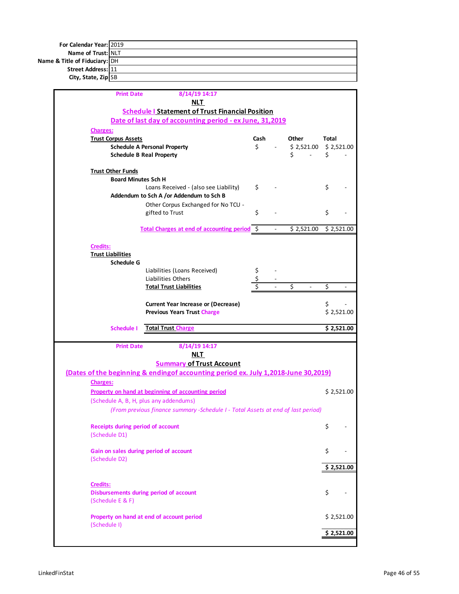| For Calendar Year: 2019       |  |
|-------------------------------|--|
| Name of Trust: NLT            |  |
| Name & Title of Fiduciary: DH |  |
| Street Address: 11            |  |
| City, State, Zip SB           |  |

| <b>Print Date</b>                                      | 8/14/19 14:17                                                                       |      |                |                        |              |            |
|--------------------------------------------------------|-------------------------------------------------------------------------------------|------|----------------|------------------------|--------------|------------|
|                                                        | NLT<br><b>Schedule I Statement of Trust Financial Position</b>                      |      |                |                        |              |            |
|                                                        | Date of last day of accounting period - ex June, 31,2019                            |      |                |                        |              |            |
| <b>Charges:</b>                                        |                                                                                     |      |                |                        |              |            |
| <b>Trust Corpus Assets</b>                             |                                                                                     | Cash |                | Other                  | <b>Total</b> |            |
|                                                        | <b>Schedule A Personal Property</b>                                                 | \$   |                | $$2,521.00 \$2,521.00$ |              |            |
|                                                        | <b>Schedule B Real Property</b>                                                     |      |                | Ś.<br>$\mathbf{r}$     | \$           |            |
|                                                        |                                                                                     |      |                |                        |              |            |
| <b>Trust Other Funds</b><br><b>Board Minutes Sch H</b> |                                                                                     |      |                |                        |              |            |
|                                                        | Loans Received - (also see Liability)                                               | \$   |                |                        | \$           |            |
|                                                        | Addendum to Sch A /or Addendum to Sch B                                             |      |                |                        |              |            |
|                                                        | Other Corpus Exchanged for No TCU -                                                 |      |                |                        |              |            |
|                                                        | gifted to Trust                                                                     | \$   |                |                        | \$           |            |
|                                                        |                                                                                     |      |                |                        |              |            |
|                                                        | Total Charges at end of accounting period S                                         |      | $\blacksquare$ | \$2,521.00             |              | \$2,521.00 |
| Credits:                                               |                                                                                     |      |                |                        |              |            |
| <b>Trust Liabilities</b>                               |                                                                                     |      |                |                        |              |            |
| Schedule G                                             |                                                                                     |      |                |                        |              |            |
|                                                        | Liabilities (Loans Received)                                                        | \$   |                |                        |              |            |
|                                                        | Liabilities Others                                                                  |      |                |                        |              |            |
|                                                        | <b>Total Trust Liabilities</b>                                                      |      |                | Ś                      | \$           |            |
|                                                        | <b>Current Year Increase or (Decrease)</b>                                          |      |                |                        | \$           |            |
|                                                        | <b>Previous Years Trust Charge</b>                                                  |      |                |                        |              | \$2,521.00 |
|                                                        |                                                                                     |      |                |                        |              |            |
| Schedule I                                             | <b>Total Trust Charge</b>                                                           |      |                |                        |              | \$2,521.00 |
| <b>Print Date</b>                                      | 8/14/19 14:17                                                                       |      |                |                        |              |            |
|                                                        | <b>NLT</b>                                                                          |      |                |                        |              |            |
|                                                        | <b>Summary of Trust Account</b>                                                     |      |                |                        |              |            |
|                                                        | (Dates of the beginning & ending of accounting period ex. July 1,2018-June 30,2019) |      |                |                        |              |            |
| <b>Charges:</b>                                        |                                                                                     |      |                |                        |              |            |
|                                                        | Property on hand at beginning of accounting period                                  |      |                |                        |              | \$2,521.00 |
|                                                        | (Schedule A, B, H, plus any addendums)                                              |      |                |                        |              |            |
|                                                        | (From previous finance summary -Schedule I - Total Assets at end of last period)    |      |                |                        |              |            |
|                                                        |                                                                                     |      |                |                        |              |            |
| Receipts during period of account<br>(Schedule D1)     |                                                                                     |      |                |                        | \$           |            |
|                                                        |                                                                                     |      |                |                        |              |            |
| Gain on sales during period of account                 |                                                                                     |      |                |                        | \$           |            |
| (Schedule D2)                                          |                                                                                     |      |                |                        |              |            |
|                                                        |                                                                                     |      |                |                        |              | \$2,521.00 |
|                                                        |                                                                                     |      |                |                        |              |            |
|                                                        |                                                                                     |      |                |                        |              |            |
| <b>Credits:</b>                                        |                                                                                     |      |                |                        |              |            |
|                                                        | <b>Disbursements during period of account</b>                                       |      |                |                        | \$           |            |
| (Schedule E & F)                                       |                                                                                     |      |                |                        |              |            |
|                                                        | Property on hand at end of account period                                           |      |                |                        |              | \$2,521.00 |
| (Schedule I)                                           |                                                                                     |      |                |                        |              |            |
|                                                        |                                                                                     |      |                |                        |              | \$2,521.00 |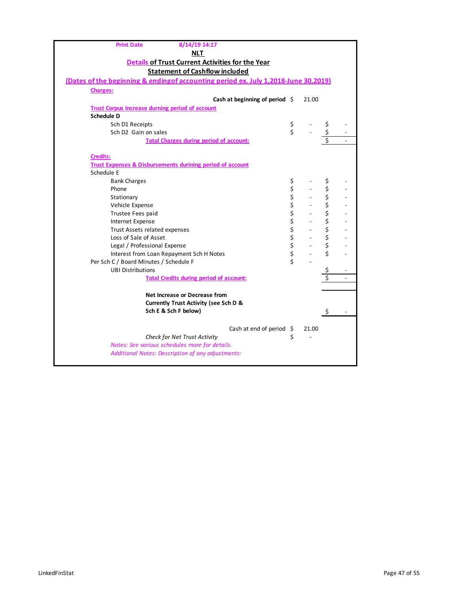| 8/14/19 14:17<br><b>Print Date</b>                                                  |           |                          |                                 |  |
|-------------------------------------------------------------------------------------|-----------|--------------------------|---------------------------------|--|
| <u>NLT</u>                                                                          |           |                          |                                 |  |
| Details of Trust Current Activities for the Year                                    |           |                          |                                 |  |
| <b>Statement of Cashflow included</b>                                               |           |                          |                                 |  |
| (Dates of the beginning & ending of accounting period ex. July 1,2018-June 30,2019) |           |                          |                                 |  |
| <b>Charges:</b>                                                                     |           |                          |                                 |  |
| Cash at beginning of period $\Diamond$                                              |           | 21.00                    |                                 |  |
| <b>Trust Corpus Increase durning period of account</b>                              |           |                          |                                 |  |
| <b>Schedule D</b>                                                                   |           |                          |                                 |  |
| Sch D1 Receipts                                                                     | \$        |                          | \$                              |  |
| Sch D <sub>2</sub> Gain on sales                                                    | \$        |                          | \$                              |  |
| <b>Total Charges during period of account:</b>                                      |           |                          | $\overline{\boldsymbol{\zeta}}$ |  |
|                                                                                     |           |                          |                                 |  |
| <b>Credits:</b>                                                                     |           |                          |                                 |  |
| <b>Trust Expenses &amp; Disbursements durining period of account</b>                |           |                          |                                 |  |
| Schedule E                                                                          |           |                          |                                 |  |
| <b>Bank Charges</b>                                                                 | \$        |                          | \$                              |  |
| Phone                                                                               |           |                          | \$                              |  |
| Stationary                                                                          |           |                          | \$                              |  |
| Vehicle Expense                                                                     |           |                          | \$                              |  |
| Trustee Fees paid                                                                   |           |                          | \$                              |  |
| <b>Internet Expense</b>                                                             |           |                          | \$                              |  |
| Trust Assets related expenses                                                       |           | $\overline{\phantom{a}}$ | \$                              |  |
| Loss of Sale of Asset                                                               |           |                          | \$                              |  |
| Legal / Professional Expense                                                        | やややかな ややや |                          | \$                              |  |
| Interest from Loan Repayment Sch H Notes                                            |           |                          | \$                              |  |
| Per Sch C / Board Minutes / Schedule F                                              |           |                          |                                 |  |
| <b>UBI Distributions</b>                                                            |           |                          | \$                              |  |
| <b>Total Credits during period of account:</b>                                      |           |                          | \$                              |  |
|                                                                                     |           |                          |                                 |  |
| Net Increase or Decrease from                                                       |           |                          |                                 |  |
| <b>Currently Trust Activity (see Sch D &amp;</b>                                    |           |                          |                                 |  |
| Sch E & Sch F below)                                                                |           |                          |                                 |  |
|                                                                                     |           |                          |                                 |  |
| Cash at end of period $\oint$                                                       |           | 21.00                    |                                 |  |
| Check for Net Trust Activity                                                        | \$        |                          |                                 |  |
| Notes: See various schedules more for details.                                      |           |                          |                                 |  |
| Additional Notes: Description of any adjustments:                                   |           |                          |                                 |  |
|                                                                                     |           |                          |                                 |  |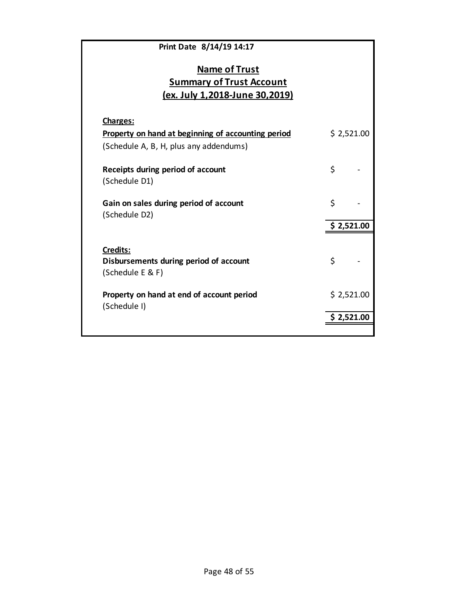| Print Date 8/14/19 14:17                                                                         |             |
|--------------------------------------------------------------------------------------------------|-------------|
| <b>Name of Trust</b><br><b>Summary of Trust Account</b><br><u>(ex. July 1,2018-June 30,2019)</u> |             |
| Charges:                                                                                         |             |
| Property on hand at beginning of accounting period<br>(Schedule A, B, H, plus any addendums)     | \$2,521.00  |
| Receipts during period of account<br>(Schedule D1)                                               | \$          |
| Gain on sales during period of account<br>(Schedule D2)                                          | \$          |
|                                                                                                  | \$2,521.00  |
| Credits:<br>Disbursements during period of account                                               | \$          |
| (Schedule E & F)                                                                                 |             |
| Property on hand at end of account period<br>(Schedule I)                                        | \$2,521.00  |
|                                                                                                  | \$ 2,521.00 |
|                                                                                                  |             |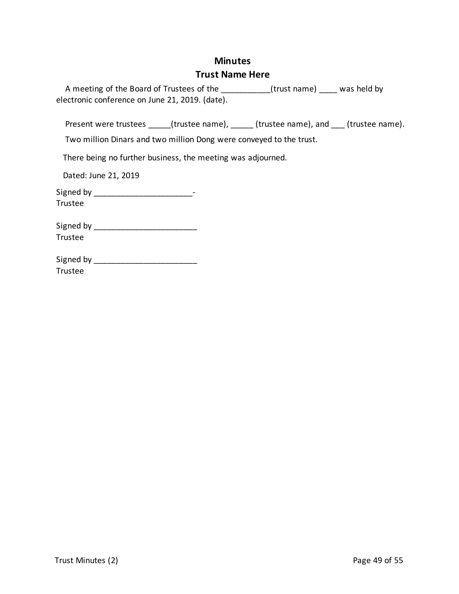# **Minutes Trust Name Here**

| A meeting of the Board of Trustees of the       | was held by<br>(trust name) |  |
|-------------------------------------------------|-----------------------------|--|
| electronic conference on June 21, 2019. (date). |                             |  |
|                                                 |                             |  |

Present were trustees \_\_\_\_\_(trustee name), \_\_\_\_\_(trustee name), and \_\_\_(trustee name).

Two million Dinars and two million Dong were conveyed to the trust.

There being no further business, the meeting was adjourned.

Dated: June 21, 2019

Signed by \_\_\_\_\_\_\_\_\_\_\_\_\_\_\_\_\_\_\_\_\_\_\_\_\_\_\_\_\_\_-Trustee

| Signed by |  |  |
|-----------|--|--|
| Trustee   |  |  |

| Signed by |  |
|-----------|--|
| Trustee   |  |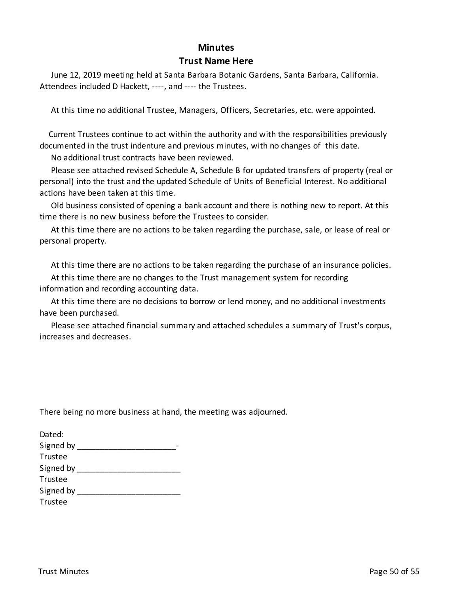#### **Minutes**

#### **Trust Name Here**

 June 12, 2019 meeting held at Santa Barbara Botanic Gardens, Santa Barbara, California. Attendees included D Hackett, ----, and ---- the Trustees.

At this time no additional Trustee, Managers, Officers, Secretaries, etc. were appointed.

 Current Trustees continue to act within the authority and with the responsibilities previously documented in the trust indenture and previous minutes, with no changes of this date.

No additional trust contracts have been reviewed.

 Please see attached revised Schedule A, Schedule B for updated transfers of property (real or personal) into the trust and the updated Schedule of Units of Beneficial Interest. No additional actions have been taken at this time.

 Old business consisted of opening a bank account and there is nothing new to report. At this time there is no new business before the Trustees to consider.

 At this time there are no actions to be taken regarding the purchase, sale, or lease of real or personal property.

At this time there are no actions to be taken regarding the purchase of an insurance policies.

 At this time there are no changes to the Trust management system for recording information and recording accounting data.

 At this time there are no decisions to borrow or lend money, and no additional investments have been purchased.

 Please see attached financial summary and attached schedules a summary of Trust's corpus, increases and decreases.

There being no more business at hand, the meeting was adjourned.

| Dated:    |  |
|-----------|--|
| Signed by |  |
| Trustee   |  |
| Signed by |  |
| Trustee   |  |
| Signed by |  |
| Trustee   |  |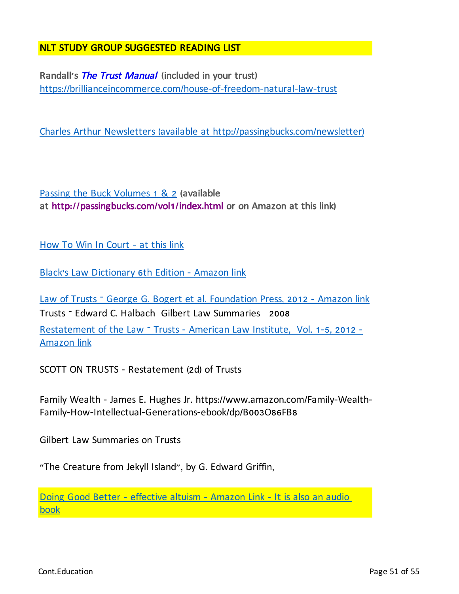## NLT STUDY GROUP SUGGESTED READING LIST

Randall**'**s The Trust Manual **(**included in your trust**)** https://brillianceincommerce.com/house-of-freedom-natural-law-trust

Charles Arthur Newsletters (available at http://passingbucks.com/newsletter)

Passing the Buck Volumes 1 & 2 **(**available at http**://**passingbucks**.**com**/**vol**1/**index**.**html or on Amazon at this link**)**

How To Win In Court - at this link

Black's Law Dictionary 6th Edition - Amazon link

Law of Trusts – George G. Bogert et al. Foundation Press, 2012 - Amazon link Trusts – Edward C. Halbach Gilbert Law Summaries 2008 Restatement of the Law - Trusts - American Law Institute, Vol. 1-5, 2012 -Amazon link

SCOTT ON TRUSTS - Restatement (2d) of Trusts

Family Wealth - James E. Hughes Jr. https://www.amazon.com/Family-Wealth-Family-How-Intellectual-Generations-ebook/dp/B003O86FB8

Gilbert Law Summaries on Trusts

"The Creature from Jekyll Island", by G. Edward Griffin,

Doing Good Better - effective altuism - Amazon Link - It is also an audio book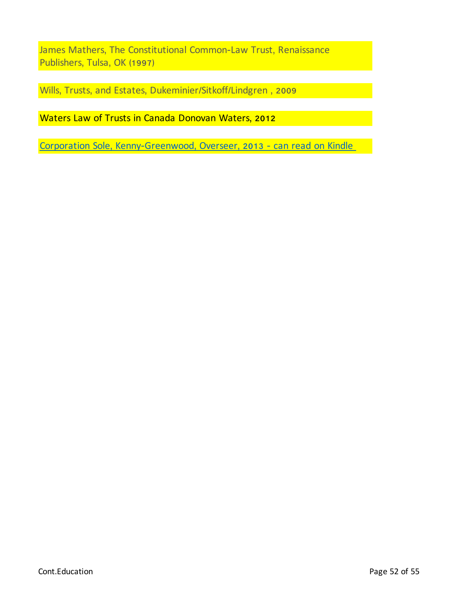James Mathers, The Constitutional Common-Law Trust, Renaissance Publishers, Tulsa, OK (1997)

Wills, Trusts, and Estates, Dukeminier/Sitkoff/Lindgren , 2009

Waters Law of Trusts in Canada Donovan Waters, 2012

Corporation Sole, Kenny-Greenwood, Overseer, 2013 - can read on Kindle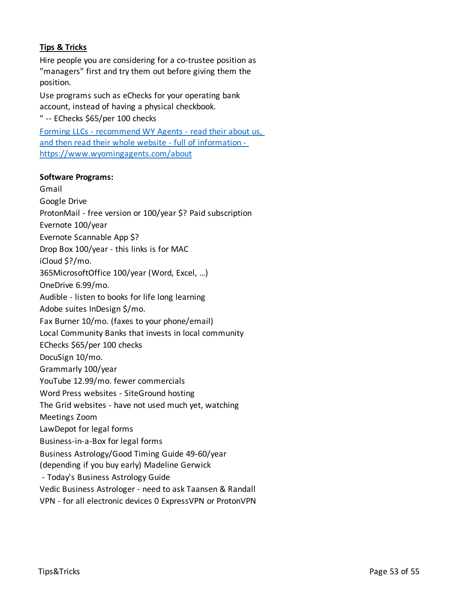## **Tips & Tricks**

Hire people you are considering for a co-trustee position as "managers" first and try them out before giving them the position.

Use programs such as eChecks for your operating bank account, instead of having a physical checkbook.

" -- EChecks \$65/per 100 checks

Forming LLCs - recommend WY Agents - read their about us, and then read their whole website - full of information https://www.wyomingagents.com/about

#### **Software Programs:**

Gmail Google Drive ProtonMail - free version or 100/year \$? Paid subscription Evernote 100/year Evernote Scannable App \$? Drop Box 100/year - this links is for MAC iCloud \$?/mo. 365MicrosoftOffice 100/year (Word, Excel, …) OneDrive 6.99/mo. Audible - listen to books for life long learning Adobe suites InDesign \$/mo. Fax Burner 10/mo. (faxes to your phone/email) Local Community Banks that invests in local community EChecks \$65/per 100 checks DocuSign 10/mo. Grammarly 100/year YouTube 12.99/mo. fewer commercials Word Press websites - SiteGround hosting The Grid websites - have not used much yet, watching Meetings Zoom LawDepot for legal forms Business-in-a-Box for legal forms Business Astrology/Good Timing Guide 49-60/year (depending if you buy early) Madeline Gerwick - Today's Business Astrology Guide Vedic Business Astrologer - need to ask Taansen & Randall VPN - for all electronic devices 0 ExpressVPN or ProtonVPN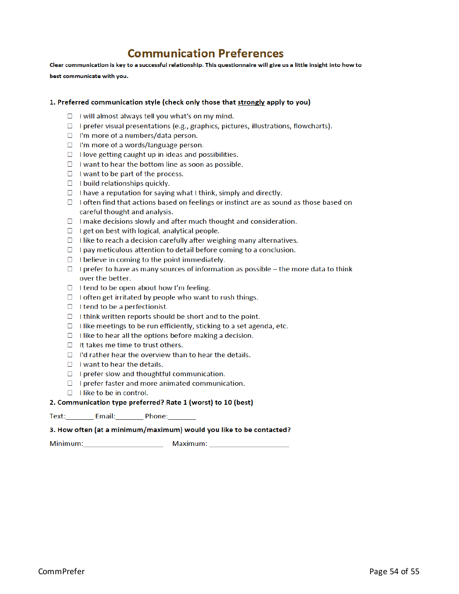# **Communication Preferences**

Clear communication is key to a successful relationship. This questionnaire will give us a little insight into how to

best communicate with you.

#### 1. Preferred communication style (check only those that strongly apply to you)

- $\Box$  I will almost always tell you what's on my mind.
- $\Box$  I prefer visual presentations (e.g., graphics, pictures, illustrations, flowcharts).
- $\Box$  I'm more of a numbers/data person.
- $\Box$  I'm more of a words/language person.
- $\Box$  I love getting caught up in ideas and possibilities.
- $\Box$  I want to hear the bottom line as soon as possible.
- $\Box$  I want to be part of the process.
- $\Box$  I build relationships quickly.
- $\Box$  I have a reputation for saying what I think, simply and directly.
- $\Box$  I often find that actions based on feelings or instinct are as sound as those based on careful thought and analysis.
- $\Box$  I make decisions slowly and after much thought and consideration.
- $\Box$  I get on best with logical, analytical people.
- $\Box$  I like to reach a decision carefully after weighing many alternatives.
- $\Box$  I pay meticulous attention to detail before coming to a conclusion.
- $\Box$  I believe in coming to the point immediately.
- $\Box$  I prefer to have as many sources of information as possible the more data to think over the better.
- $\Box$  I tend to be open about how I'm feeling.
- $\Box$  I often get irritated by people who want to rush things.
- $\Box$  I tend to be a perfectionist.
- $\Box$  I think written reports should be short and to the point.
- $\Box$  I like meetings to be run efficiently, sticking to a set agenda, etc.
- $\Box$  I like to hear all the options before making a decision.
- $\Box$  It takes me time to trust others.
- $\Box$  I'd rather hear the overview than to hear the details.
- $\Box$  I want to hear the details.
- $\Box$  I prefer slow and thoughtful communication.
- $\Box$  I prefer faster and more animated communication.
- $\Box$  I like to be in control.

#### 2. Communication type preferred? Rate 1 (worst) to 10 (best)

#### 3. How often (at a minimum/maximum) would you like to be contacted?